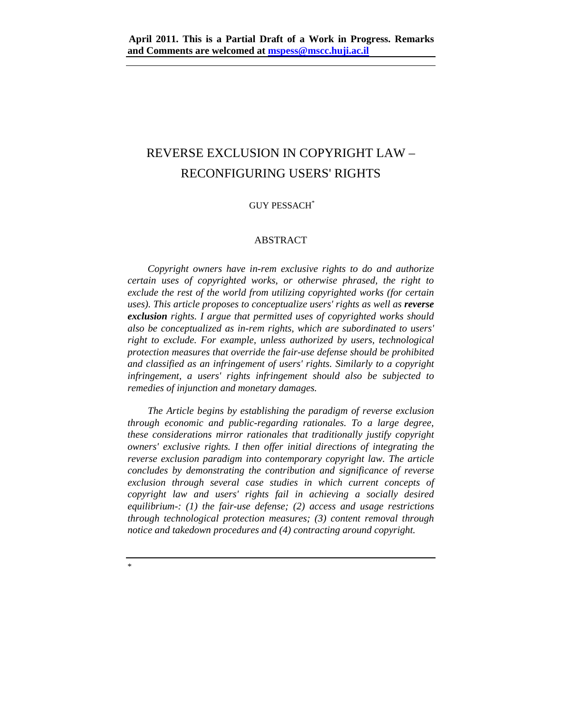# REVERSE EXCLUSION IN COPYRIGHT LAW – RECONFIGURING USERS' RIGHTS

## GUY PESSACH\*

#### ABSTRACT

*Copyright owners have in-rem exclusive rights to do and authorize certain uses of copyrighted works, or otherwise phrased, the right to exclude the rest of the world from utilizing copyrighted works (for certain uses*). This article proposes to conceptualize users' rights as well as *reverse exclusion rights. I argue that permitted uses of copyrighted works should also be conceptualized as in-rem rights, which are subordinated to users' right to exclude. For example, unless authorized by users, technological protection measures that override the fair-use defense should be prohibited and classified as an infringement of users' rights. Similarly to a copyright infringement, a users' rights infringement should also be subjected to remedies of injunction and monetary damages.* 

*The Article begins by establishing the paradigm of reverse exclusion through economic and public-regarding rationales. To a large degree, these considerations mirror rationales that traditionally justify copyright owners' exclusive rights. I then offer initial directions of integrating the reverse exclusion paradigm into contemporary copyright law. The article concludes by demonstrating the contribution and significance of reverse exclusion through several case studies in which current concepts of copyright law and users' rights fail in achieving a socially desired equilibrium-: (1) the fair-use defense; (2) access and usage restrictions through technological protection measures; (3) content removal through notice and takedown procedures and (4) contracting around copyright.* 

\*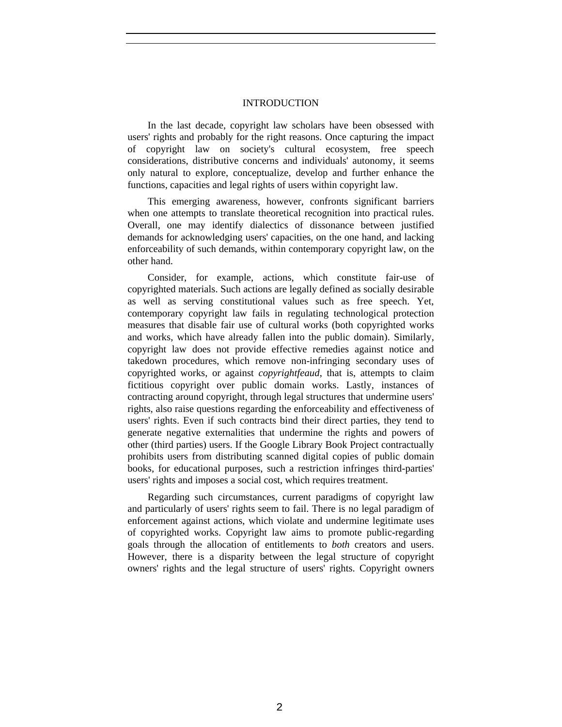# INTRODUCTION

In the last decade, copyright law scholars have been obsessed with users' rights and probably for the right reasons. Once capturing the impact of copyright law on society's cultural ecosystem, free speech considerations, distributive concerns and individuals' autonomy, it seems only natural to explore, conceptualize, develop and further enhance the functions, capacities and legal rights of users within copyright law.

This emerging awareness, however, confronts significant barriers when one attempts to translate theoretical recognition into practical rules. Overall, one may identify dialectics of dissonance between justified demands for acknowledging users' capacities, on the one hand, and lacking enforceability of such demands, within contemporary copyright law, on the other hand.

Consider, for example, actions, which constitute fair-use of copyrighted materials. Such actions are legally defined as socially desirable as well as serving constitutional values such as free speech. Yet, contemporary copyright law fails in regulating technological protection measures that disable fair use of cultural works (both copyrighted works and works, which have already fallen into the public domain). Similarly, copyright law does not provide effective remedies against notice and takedown procedures, which remove non-infringing secondary uses of copyrighted works, or against *copyrightfeaud*, that is, attempts to claim fictitious copyright over public domain works. Lastly, instances of contracting around copyright, through legal structures that undermine users' rights, also raise questions regarding the enforceability and effectiveness of users' rights. Even if such contracts bind their direct parties, they tend to generate negative externalities that undermine the rights and powers of other (third parties) users. If the Google Library Book Project contractually prohibits users from distributing scanned digital copies of public domain books, for educational purposes, such a restriction infringes third-parties' users' rights and imposes a social cost, which requires treatment.

Regarding such circumstances, current paradigms of copyright law and particularly of users' rights seem to fail. There is no legal paradigm of enforcement against actions, which violate and undermine legitimate uses of copyrighted works. Copyright law aims to promote public-regarding goals through the allocation of entitlements to *both* creators and users. However, there is a disparity between the legal structure of copyright owners' rights and the legal structure of users' rights. Copyright owners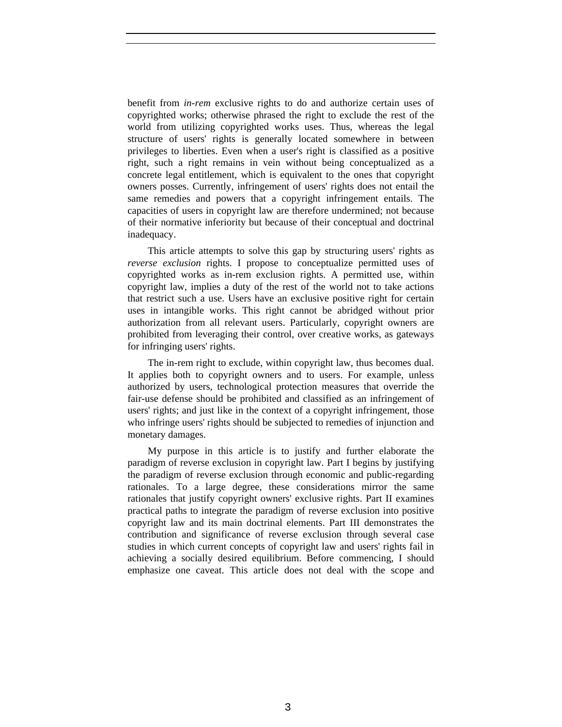benefit from *in-rem* exclusive rights to do and authorize certain uses of copyrighted works; otherwise phrased the right to exclude the rest of the world from utilizing copyrighted works uses. Thus, whereas the legal structure of users' rights is generally located somewhere in between privileges to liberties. Even when a user's right is classified as a positive right, such a right remains in vein without being conceptualized as a concrete legal entitlement, which is equivalent to the ones that copyright owners posses. Currently, infringement of users' rights does not entail the same remedies and powers that a copyright infringement entails. The capacities of users in copyright law are therefore undermined; not because of their normative inferiority but because of their conceptual and doctrinal inadequacy.

This article attempts to solve this gap by structuring users' rights as *reverse exclusion* rights. I propose to conceptualize permitted uses of copyrighted works as in-rem exclusion rights. A permitted use, within copyright law, implies a duty of the rest of the world not to take actions that restrict such a use. Users have an exclusive positive right for certain uses in intangible works. This right cannot be abridged without prior authorization from all relevant users. Particularly, copyright owners are prohibited from leveraging their control, over creative works, as gateways for infringing users' rights.

The in-rem right to exclude, within copyright law, thus becomes dual. It applies both to copyright owners and to users. For example, unless authorized by users, technological protection measures that override the fair-use defense should be prohibited and classified as an infringement of users' rights; and just like in the context of a copyright infringement, those who infringe users' rights should be subjected to remedies of injunction and monetary damages.

My purpose in this article is to justify and further elaborate the paradigm of reverse exclusion in copyright law. Part I begins by justifying the paradigm of reverse exclusion through economic and public-regarding rationales. To a large degree, these considerations mirror the same rationales that justify copyright owners' exclusive rights. Part II examines practical paths to integrate the paradigm of reverse exclusion into positive copyright law and its main doctrinal elements. Part III demonstrates the contribution and significance of reverse exclusion through several case studies in which current concepts of copyright law and users' rights fail in achieving a socially desired equilibrium. Before commencing, I should emphasize one caveat. This article does not deal with the scope and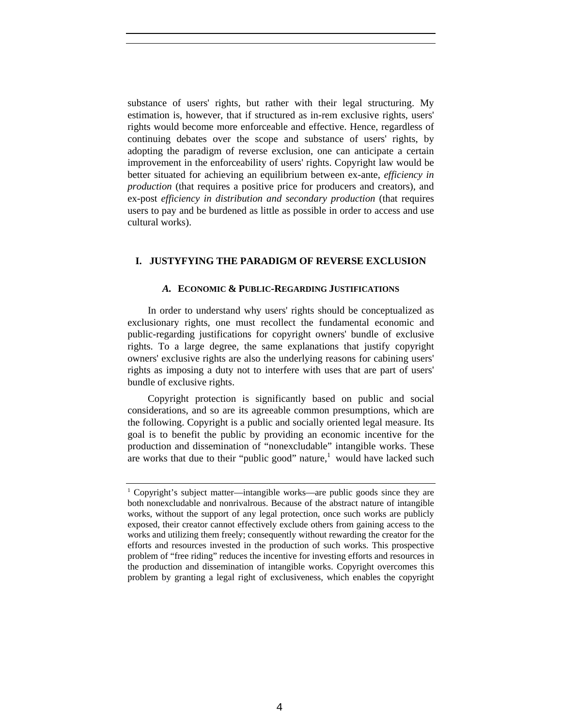substance of users' rights, but rather with their legal structuring. My estimation is, however, that if structured as in-rem exclusive rights, users' rights would become more enforceable and effective. Hence, regardless of continuing debates over the scope and substance of users' rights, by adopting the paradigm of reverse exclusion, one can anticipate a certain improvement in the enforceability of users' rights. Copyright law would be better situated for achieving an equilibrium between ex-ante, *efficiency in production* (that requires a positive price for producers and creators), and ex-post *efficiency in distribution and secondary production* (that requires users to pay and be burdened as little as possible in order to access and use cultural works).

#### **I. JUSTYFYING THE PARADIGM OF REVERSE EXCLUSION**

#### *A.* **ECONOMIC & PUBLIC-REGARDING JUSTIFICATIONS**

In order to understand why users' rights should be conceptualized as exclusionary rights, one must recollect the fundamental economic and public-regarding justifications for copyright owners' bundle of exclusive rights. To a large degree, the same explanations that justify copyright owners' exclusive rights are also the underlying reasons for cabining users' rights as imposing a duty not to interfere with uses that are part of users' bundle of exclusive rights.

Copyright protection is significantly based on public and social considerations, and so are its agreeable common presumptions, which are the following. Copyright is a public and socially oriented legal measure. Its goal is to benefit the public by providing an economic incentive for the production and dissemination of "nonexcludable" intangible works. These are works that due to their "public good" nature, $\frac{1}{1}$  would have lacked such

<sup>&</sup>lt;sup>1</sup> Copyright's subject matter—intangible works—are public goods since they are both nonexcludable and nonrivalrous. Because of the abstract nature of intangible works, without the support of any legal protection, once such works are publicly exposed, their creator cannot effectively exclude others from gaining access to the works and utilizing them freely; consequently without rewarding the creator for the efforts and resources invested in the production of such works. This prospective problem of "free riding" reduces the incentive for investing efforts and resources in the production and dissemination of intangible works. Copyright overcomes this problem by granting a legal right of exclusiveness, which enables the copyright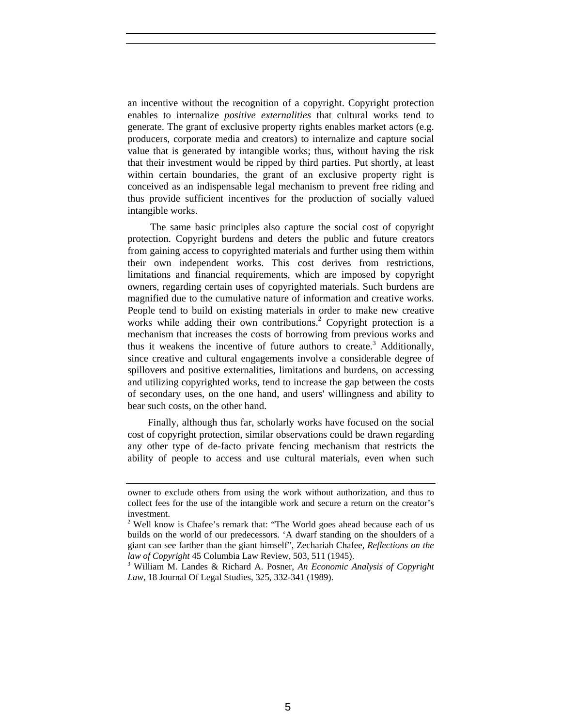an incentive without the recognition of a copyright. Copyright protection enables to internalize *positive externalities* that cultural works tend to generate. The grant of exclusive property rights enables market actors (e.g. producers, corporate media and creators) to internalize and capture social value that is generated by intangible works; thus, without having the risk that their investment would be ripped by third parties. Put shortly, at least within certain boundaries, the grant of an exclusive property right is conceived as an indispensable legal mechanism to prevent free riding and thus provide sufficient incentives for the production of socially valued intangible works.

 The same basic principles also capture the social cost of copyright protection. Copyright burdens and deters the public and future creators from gaining access to copyrighted materials and further using them within their own independent works. This cost derives from restrictions, limitations and financial requirements, which are imposed by copyright owners, regarding certain uses of copyrighted materials. Such burdens are magnified due to the cumulative nature of information and creative works. People tend to build on existing materials in order to make new creative works while adding their own contributions.<sup>2</sup> Copyright protection is a mechanism that increases the costs of borrowing from previous works and thus it weakens the incentive of future authors to create.<sup>3</sup> Additionally, since creative and cultural engagements involve a considerable degree of spillovers and positive externalities, limitations and burdens, on accessing and utilizing copyrighted works, tend to increase the gap between the costs of secondary uses, on the one hand, and users' willingness and ability to bear such costs, on the other hand.

Finally, although thus far, scholarly works have focused on the social cost of copyright protection, similar observations could be drawn regarding any other type of de-facto private fencing mechanism that restricts the ability of people to access and use cultural materials, even when such

owner to exclude others from using the work without authorization, and thus to collect fees for the use of the intangible work and secure a return on the creator's investment.

<sup>&</sup>lt;sup>2</sup> Well know is Chafee's remark that: "The World goes ahead because each of us builds on the world of our predecessors. 'A dwarf standing on the shoulders of a giant can see farther than the giant himself", Zechariah Chafee, *Reflections on the*  law of Copyright 45 Columbia Law Review, 503, 511 (1945).

William M. Landes & Richard A. Posner, *An Economic Analysis of Copyright Law*, 18 Journal Of Legal Studies, 325, 332-341 (1989).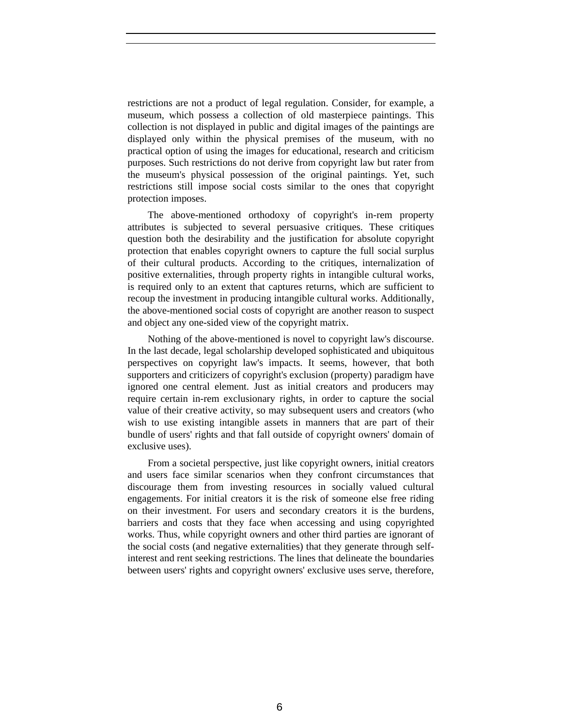restrictions are not a product of legal regulation. Consider, for example, a museum, which possess a collection of old masterpiece paintings. This collection is not displayed in public and digital images of the paintings are displayed only within the physical premises of the museum, with no practical option of using the images for educational, research and criticism purposes. Such restrictions do not derive from copyright law but rater from the museum's physical possession of the original paintings. Yet, such restrictions still impose social costs similar to the ones that copyright protection imposes.

The above-mentioned orthodoxy of copyright's in-rem property attributes is subjected to several persuasive critiques. These critiques question both the desirability and the justification for absolute copyright protection that enables copyright owners to capture the full social surplus of their cultural products. According to the critiques, internalization of positive externalities, through property rights in intangible cultural works, is required only to an extent that captures returns, which are sufficient to recoup the investment in producing intangible cultural works. Additionally, the above-mentioned social costs of copyright are another reason to suspect and object any one-sided view of the copyright matrix.

Nothing of the above-mentioned is novel to copyright law's discourse. In the last decade, legal scholarship developed sophisticated and ubiquitous perspectives on copyright law's impacts. It seems, however, that both supporters and criticizers of copyright's exclusion (property) paradigm have ignored one central element. Just as initial creators and producers may require certain in-rem exclusionary rights, in order to capture the social value of their creative activity, so may subsequent users and creators (who wish to use existing intangible assets in manners that are part of their bundle of users' rights and that fall outside of copyright owners' domain of exclusive uses).

From a societal perspective, just like copyright owners, initial creators and users face similar scenarios when they confront circumstances that discourage them from investing resources in socially valued cultural engagements. For initial creators it is the risk of someone else free riding on their investment. For users and secondary creators it is the burdens, barriers and costs that they face when accessing and using copyrighted works. Thus, while copyright owners and other third parties are ignorant of the social costs (and negative externalities) that they generate through selfinterest and rent seeking restrictions. The lines that delineate the boundaries between users' rights and copyright owners' exclusive uses serve, therefore,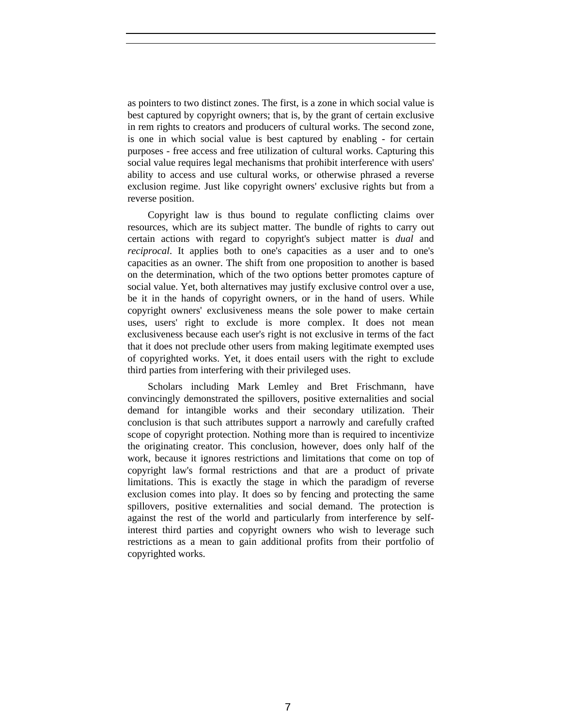as pointers to two distinct zones. The first, is a zone in which social value is best captured by copyright owners; that is, by the grant of certain exclusive in rem rights to creators and producers of cultural works. The second zone, is one in which social value is best captured by enabling - for certain purposes - free access and free utilization of cultural works. Capturing this social value requires legal mechanisms that prohibit interference with users' ability to access and use cultural works, or otherwise phrased a reverse exclusion regime. Just like copyright owners' exclusive rights but from a reverse position.

Copyright law is thus bound to regulate conflicting claims over resources, which are its subject matter. The bundle of rights to carry out certain actions with regard to copyright's subject matter is *dual* and *reciprocal*. It applies both to one's capacities as a user and to one's capacities as an owner. The shift from one proposition to another is based on the determination, which of the two options better promotes capture of social value. Yet, both alternatives may justify exclusive control over a use, be it in the hands of copyright owners, or in the hand of users. While copyright owners' exclusiveness means the sole power to make certain uses, users' right to exclude is more complex. It does not mean exclusiveness because each user's right is not exclusive in terms of the fact that it does not preclude other users from making legitimate exempted uses of copyrighted works. Yet, it does entail users with the right to exclude third parties from interfering with their privileged uses.

Scholars including Mark Lemley and Bret Frischmann, have convincingly demonstrated the spillovers, positive externalities and social demand for intangible works and their secondary utilization. Their conclusion is that such attributes support a narrowly and carefully crafted scope of copyright protection. Nothing more than is required to incentivize the originating creator. This conclusion, however, does only half of the work, because it ignores restrictions and limitations that come on top of copyright law's formal restrictions and that are a product of private limitations. This is exactly the stage in which the paradigm of reverse exclusion comes into play. It does so by fencing and protecting the same spillovers, positive externalities and social demand. The protection is against the rest of the world and particularly from interference by selfinterest third parties and copyright owners who wish to leverage such restrictions as a mean to gain additional profits from their portfolio of copyrighted works.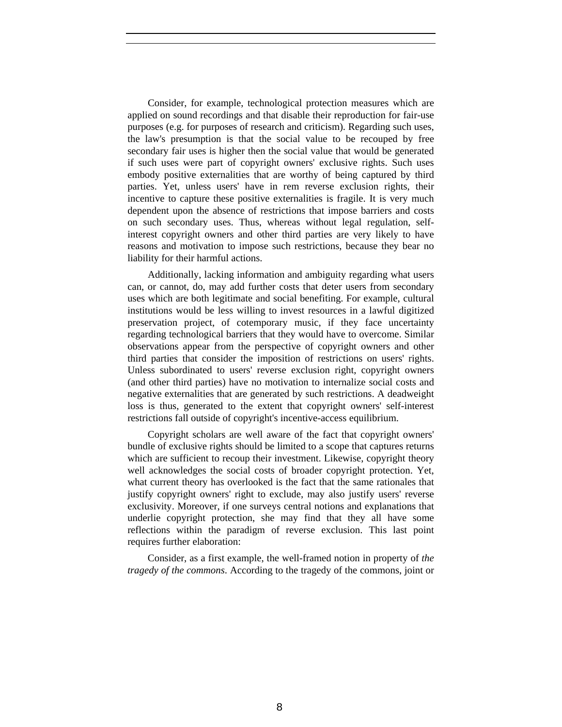Consider, for example, technological protection measures which are applied on sound recordings and that disable their reproduction for fair-use purposes (e.g. for purposes of research and criticism). Regarding such uses, the law's presumption is that the social value to be recouped by free secondary fair uses is higher then the social value that would be generated if such uses were part of copyright owners' exclusive rights. Such uses embody positive externalities that are worthy of being captured by third parties. Yet, unless users' have in rem reverse exclusion rights, their incentive to capture these positive externalities is fragile. It is very much dependent upon the absence of restrictions that impose barriers and costs on such secondary uses. Thus, whereas without legal regulation, selfinterest copyright owners and other third parties are very likely to have reasons and motivation to impose such restrictions, because they bear no liability for their harmful actions.

Additionally, lacking information and ambiguity regarding what users can, or cannot, do, may add further costs that deter users from secondary uses which are both legitimate and social benefiting. For example, cultural institutions would be less willing to invest resources in a lawful digitized preservation project, of cotemporary music, if they face uncertainty regarding technological barriers that they would have to overcome. Similar observations appear from the perspective of copyright owners and other third parties that consider the imposition of restrictions on users' rights. Unless subordinated to users' reverse exclusion right, copyright owners (and other third parties) have no motivation to internalize social costs and negative externalities that are generated by such restrictions. A deadweight loss is thus, generated to the extent that copyright owners' self-interest restrictions fall outside of copyright's incentive-access equilibrium.

Copyright scholars are well aware of the fact that copyright owners' bundle of exclusive rights should be limited to a scope that captures returns which are sufficient to recoup their investment. Likewise, copyright theory well acknowledges the social costs of broader copyright protection. Yet, what current theory has overlooked is the fact that the same rationales that justify copyright owners' right to exclude, may also justify users' reverse exclusivity. Moreover, if one surveys central notions and explanations that underlie copyright protection, she may find that they all have some reflections within the paradigm of reverse exclusion. This last point requires further elaboration:

Consider, as a first example, the well-framed notion in property of *the tragedy of the commons*. According to the tragedy of the commons, joint or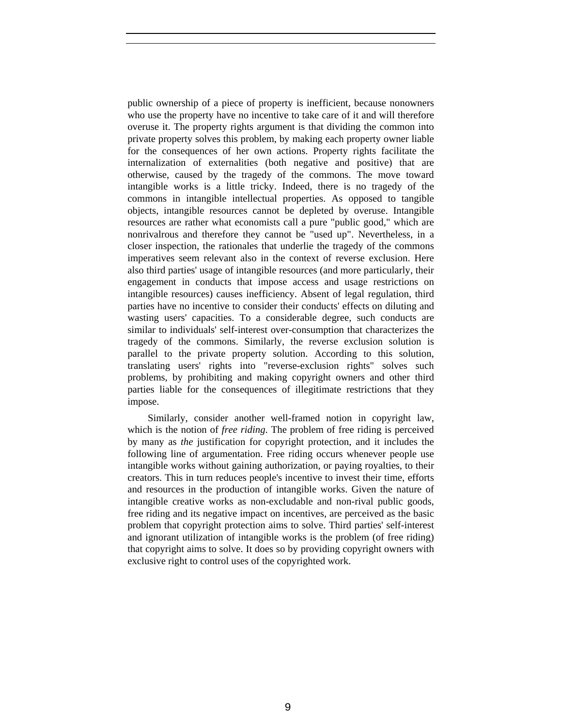public ownership of a piece of property is inefficient, because nonowners who use the property have no incentive to take care of it and will therefore overuse it. The property rights argument is that dividing the common into private property solves this problem, by making each property owner liable for the consequences of her own actions. Property rights facilitate the internalization of externalities (both negative and positive) that are otherwise, caused by the tragedy of the commons. The move toward intangible works is a little tricky. Indeed, there is no tragedy of the commons in intangible intellectual properties. As opposed to tangible objects, intangible resources cannot be depleted by overuse. Intangible resources are rather what economists call a pure "public good," which are nonrivalrous and therefore they cannot be "used up". Nevertheless, in a closer inspection, the rationales that underlie the tragedy of the commons imperatives seem relevant also in the context of reverse exclusion. Here also third parties' usage of intangible resources (and more particularly, their engagement in conducts that impose access and usage restrictions on intangible resources) causes inefficiency. Absent of legal regulation, third parties have no incentive to consider their conducts' effects on diluting and wasting users' capacities. To a considerable degree, such conducts are similar to individuals' self-interest over-consumption that characterizes the tragedy of the commons. Similarly, the reverse exclusion solution is parallel to the private property solution. According to this solution, translating users' rights into "reverse-exclusion rights" solves such problems, by prohibiting and making copyright owners and other third parties liable for the consequences of illegitimate restrictions that they impose.

Similarly, consider another well-framed notion in copyright law, which is the notion of *free riding*. The problem of free riding is perceived by many as *the* justification for copyright protection, and it includes the following line of argumentation. Free riding occurs whenever people use intangible works without gaining authorization, or paying royalties, to their creators. This in turn reduces people's incentive to invest their time, efforts and resources in the production of intangible works. Given the nature of intangible creative works as non-excludable and non-rival public goods, free riding and its negative impact on incentives, are perceived as the basic problem that copyright protection aims to solve. Third parties' self-interest and ignorant utilization of intangible works is the problem (of free riding) that copyright aims to solve. It does so by providing copyright owners with exclusive right to control uses of the copyrighted work.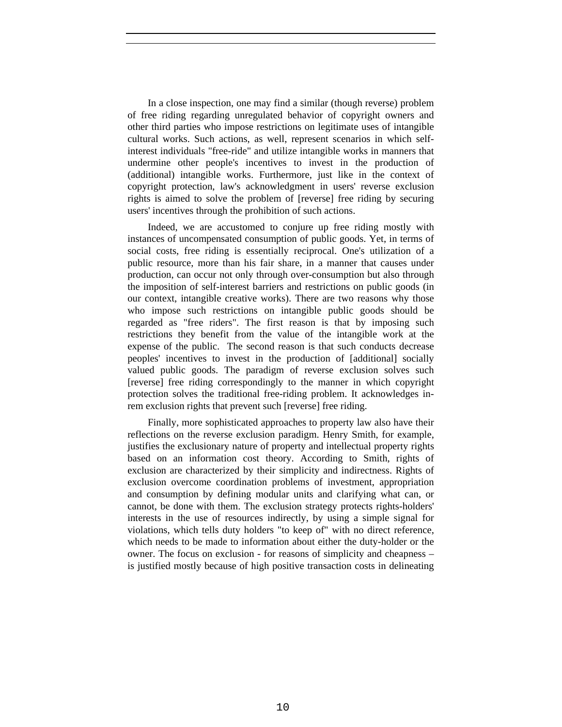In a close inspection, one may find a similar (though reverse) problem of free riding regarding unregulated behavior of copyright owners and other third parties who impose restrictions on legitimate uses of intangible cultural works. Such actions, as well, represent scenarios in which selfinterest individuals "free-ride" and utilize intangible works in manners that undermine other people's incentives to invest in the production of (additional) intangible works. Furthermore, just like in the context of copyright protection, law's acknowledgment in users' reverse exclusion rights is aimed to solve the problem of [reverse] free riding by securing users' incentives through the prohibition of such actions.

Indeed, we are accustomed to conjure up free riding mostly with instances of uncompensated consumption of public goods. Yet, in terms of social costs, free riding is essentially reciprocal. One's utilization of a public resource, more than his fair share, in a manner that causes under production, can occur not only through over-consumption but also through the imposition of self-interest barriers and restrictions on public goods (in our context, intangible creative works). There are two reasons why those who impose such restrictions on intangible public goods should be regarded as "free riders". The first reason is that by imposing such restrictions they benefit from the value of the intangible work at the expense of the public. The second reason is that such conducts decrease peoples' incentives to invest in the production of [additional] socially valued public goods. The paradigm of reverse exclusion solves such [reverse] free riding correspondingly to the manner in which copyright protection solves the traditional free-riding problem. It acknowledges inrem exclusion rights that prevent such [reverse] free riding.

Finally, more sophisticated approaches to property law also have their reflections on the reverse exclusion paradigm. Henry Smith, for example, justifies the exclusionary nature of property and intellectual property rights based on an information cost theory. According to Smith, rights of exclusion are characterized by their simplicity and indirectness. Rights of exclusion overcome coordination problems of investment, appropriation and consumption by defining modular units and clarifying what can, or cannot, be done with them. The exclusion strategy protects rights-holders' interests in the use of resources indirectly, by using a simple signal for violations, which tells duty holders "to keep of" with no direct reference, which needs to be made to information about either the duty-holder or the owner. The focus on exclusion - for reasons of simplicity and cheapness – is justified mostly because of high positive transaction costs in delineating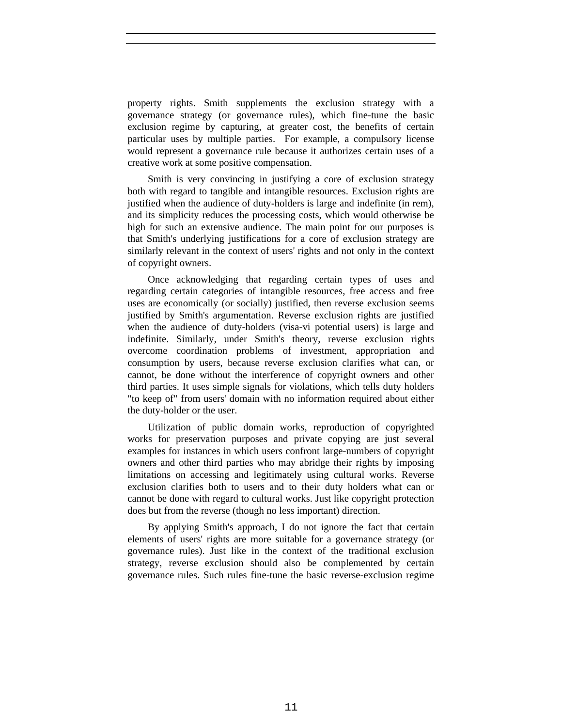property rights. Smith supplements the exclusion strategy with a governance strategy (or governance rules), which fine-tune the basic exclusion regime by capturing, at greater cost, the benefits of certain particular uses by multiple parties. For example, a compulsory license would represent a governance rule because it authorizes certain uses of a creative work at some positive compensation.

Smith is very convincing in justifying a core of exclusion strategy both with regard to tangible and intangible resources. Exclusion rights are justified when the audience of duty-holders is large and indefinite (in rem), and its simplicity reduces the processing costs, which would otherwise be high for such an extensive audience. The main point for our purposes is that Smith's underlying justifications for a core of exclusion strategy are similarly relevant in the context of users' rights and not only in the context of copyright owners.

Once acknowledging that regarding certain types of uses and regarding certain categories of intangible resources, free access and free uses are economically (or socially) justified, then reverse exclusion seems justified by Smith's argumentation. Reverse exclusion rights are justified when the audience of duty-holders (visa-vi potential users) is large and indefinite. Similarly, under Smith's theory, reverse exclusion rights overcome coordination problems of investment, appropriation and consumption by users, because reverse exclusion clarifies what can, or cannot, be done without the interference of copyright owners and other third parties. It uses simple signals for violations, which tells duty holders "to keep of" from users' domain with no information required about either the duty-holder or the user.

Utilization of public domain works, reproduction of copyrighted works for preservation purposes and private copying are just several examples for instances in which users confront large-numbers of copyright owners and other third parties who may abridge their rights by imposing limitations on accessing and legitimately using cultural works. Reverse exclusion clarifies both to users and to their duty holders what can or cannot be done with regard to cultural works. Just like copyright protection does but from the reverse (though no less important) direction.

By applying Smith's approach, I do not ignore the fact that certain elements of users' rights are more suitable for a governance strategy (or governance rules). Just like in the context of the traditional exclusion strategy, reverse exclusion should also be complemented by certain governance rules. Such rules fine-tune the basic reverse-exclusion regime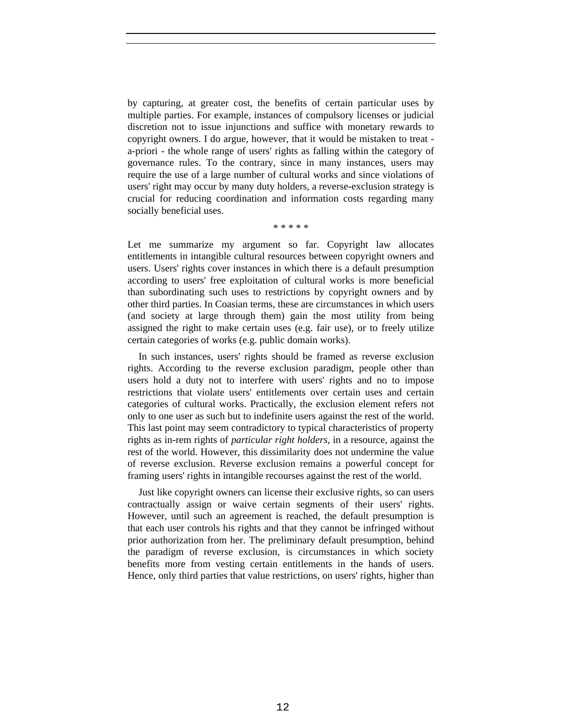by capturing, at greater cost, the benefits of certain particular uses by multiple parties. For example, instances of compulsory licenses or judicial discretion not to issue injunctions and suffice with monetary rewards to copyright owners. I do argue, however, that it would be mistaken to treat a-priori - the whole range of users' rights as falling within the category of governance rules. To the contrary, since in many instances, users may require the use of a large number of cultural works and since violations of users' right may occur by many duty holders, a reverse-exclusion strategy is crucial for reducing coordination and information costs regarding many socially beneficial uses.

\* \* \* \* \*

Let me summarize my argument so far. Copyright law allocates entitlements in intangible cultural resources between copyright owners and users. Users' rights cover instances in which there is a default presumption according to users' free exploitation of cultural works is more beneficial than subordinating such uses to restrictions by copyright owners and by other third parties. In Coasian terms, these are circumstances in which users (and society at large through them) gain the most utility from being assigned the right to make certain uses (e.g. fair use), or to freely utilize certain categories of works (e.g. public domain works).

In such instances, users' rights should be framed as reverse exclusion rights. According to the reverse exclusion paradigm, people other than users hold a duty not to interfere with users' rights and no to impose restrictions that violate users' entitlements over certain uses and certain categories of cultural works. Practically, the exclusion element refers not only to one user as such but to indefinite users against the rest of the world. This last point may seem contradictory to typical characteristics of property rights as in-rem rights of *particular right holders*, in a resource, against the rest of the world. However, this dissimilarity does not undermine the value of reverse exclusion. Reverse exclusion remains a powerful concept for framing users' rights in intangible recourses against the rest of the world.

Just like copyright owners can license their exclusive rights, so can users contractually assign or waive certain segments of their users' rights. However, until such an agreement is reached, the default presumption is that each user controls his rights and that they cannot be infringed without prior authorization from her. The preliminary default presumption, behind the paradigm of reverse exclusion, is circumstances in which society benefits more from vesting certain entitlements in the hands of users. Hence, only third parties that value restrictions, on users' rights, higher than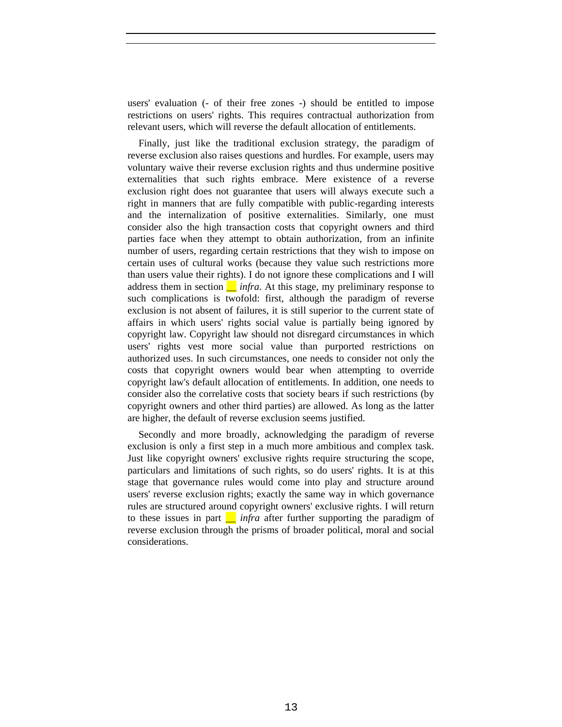users' evaluation (- of their free zones -) should be entitled to impose restrictions on users' rights. This requires contractual authorization from relevant users, which will reverse the default allocation of entitlements.

Finally, just like the traditional exclusion strategy, the paradigm of reverse exclusion also raises questions and hurdles. For example, users may voluntary waive their reverse exclusion rights and thus undermine positive externalities that such rights embrace. Mere existence of a reverse exclusion right does not guarantee that users will always execute such a right in manners that are fully compatible with public-regarding interests and the internalization of positive externalities. Similarly, one must consider also the high transaction costs that copyright owners and third parties face when they attempt to obtain authorization, from an infinite number of users, regarding certain restrictions that they wish to impose on certain uses of cultural works (because they value such restrictions more than users value their rights). I do not ignore these complications and I will address them in section  $\Box$  *infra*. At this stage, my preliminary response to such complications is twofold: first, although the paradigm of reverse exclusion is not absent of failures, it is still superior to the current state of affairs in which users' rights social value is partially being ignored by copyright law. Copyright law should not disregard circumstances in which users' rights vest more social value than purported restrictions on authorized uses. In such circumstances, one needs to consider not only the costs that copyright owners would bear when attempting to override copyright law's default allocation of entitlements. In addition, one needs to consider also the correlative costs that society bears if such restrictions (by copyright owners and other third parties) are allowed. As long as the latter are higher, the default of reverse exclusion seems justified.

Secondly and more broadly, acknowledging the paradigm of reverse exclusion is only a first step in a much more ambitious and complex task. Just like copyright owners' exclusive rights require structuring the scope, particulars and limitations of such rights, so do users' rights. It is at this stage that governance rules would come into play and structure around users' reverse exclusion rights; exactly the same way in which governance rules are structured around copyright owners' exclusive rights. I will return to these issues in part *\_\_ infra* after further supporting the paradigm of reverse exclusion through the prisms of broader political, moral and social considerations.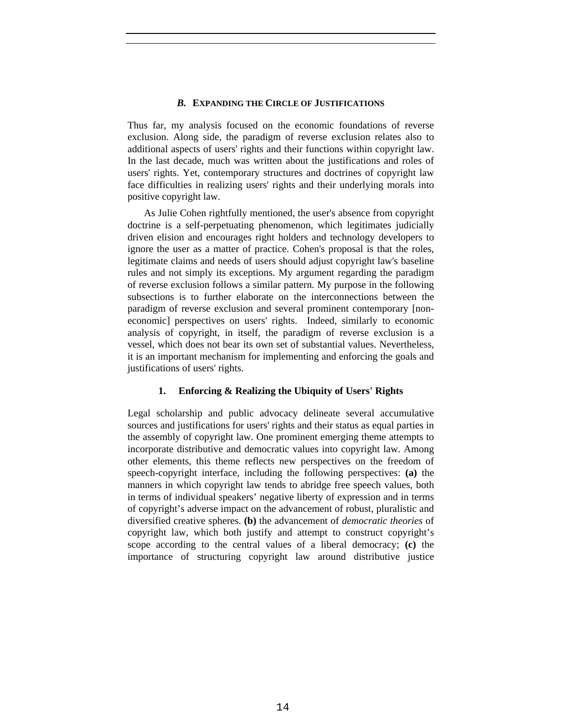## *B.* **EXPANDING THE CIRCLE OF JUSTIFICATIONS**

Thus far, my analysis focused on the economic foundations of reverse exclusion. Along side, the paradigm of reverse exclusion relates also to additional aspects of users' rights and their functions within copyright law. In the last decade, much was written about the justifications and roles of users' rights. Yet, contemporary structures and doctrines of copyright law face difficulties in realizing users' rights and their underlying morals into positive copyright law.

As Julie Cohen rightfully mentioned, the user's absence from copyright doctrine is a self-perpetuating phenomenon, which legitimates judicially driven elision and encourages right holders and technology developers to ignore the user as a matter of practice. Cohen's proposal is that the roles, legitimate claims and needs of users should adjust copyright law's baseline rules and not simply its exceptions. My argument regarding the paradigm of reverse exclusion follows a similar pattern. My purpose in the following subsections is to further elaborate on the interconnections between the paradigm of reverse exclusion and several prominent contemporary [noneconomic] perspectives on users' rights. Indeed, similarly to economic analysis of copyright, in itself, the paradigm of reverse exclusion is a vessel, which does not bear its own set of substantial values. Nevertheless, it is an important mechanism for implementing and enforcing the goals and justifications of users' rights.

# **1. Enforcing & Realizing the Ubiquity of Users' Rights**

Legal scholarship and public advocacy delineate several accumulative sources and justifications for users' rights and their status as equal parties in the assembly of copyright law. One prominent emerging theme attempts to incorporate distributive and democratic values into copyright law. Among other elements, this theme reflects new perspectives on the freedom of speech-copyright interface, including the following perspectives: **(a)** the manners in which copyright law tends to abridge free speech values, both in terms of individual speakers' negative liberty of expression and in terms of copyright's adverse impact on the advancement of robust, pluralistic and diversified creative spheres. **(b)** the advancement of *democratic theories* of copyright law, which both justify and attempt to construct copyright's scope according to the central values of a liberal democracy; **(c)** the importance of structuring copyright law around distributive justice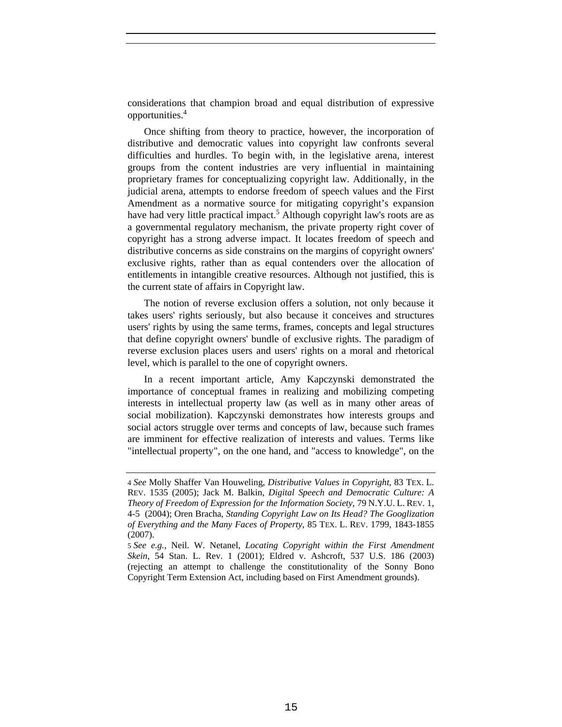considerations that champion broad and equal distribution of expressive opportunities.4

Once shifting from theory to practice, however, the incorporation of distributive and democratic values into copyright law confronts several difficulties and hurdles. To begin with, in the legislative arena, interest groups from the content industries are very influential in maintaining proprietary frames for conceptualizing copyright law. Additionally, in the judicial arena, attempts to endorse freedom of speech values and the First Amendment as a normative source for mitigating copyright's expansion have had very little practical impact.<sup>5</sup> Although copyright law's roots are as a governmental regulatory mechanism, the private property right cover of copyright has a strong adverse impact. It locates freedom of speech and distributive concerns as side constrains on the margins of copyright owners' exclusive rights, rather than as equal contenders over the allocation of entitlements in intangible creative resources. Although not justified, this is the current state of affairs in Copyright law.

The notion of reverse exclusion offers a solution, not only because it takes users' rights seriously, but also because it conceives and structures users' rights by using the same terms, frames, concepts and legal structures that define copyright owners' bundle of exclusive rights. The paradigm of reverse exclusion places users and users' rights on a moral and rhetorical level, which is parallel to the one of copyright owners.

In a recent important article, Amy Kapczynski demonstrated the importance of conceptual frames in realizing and mobilizing competing interests in intellectual property law (as well as in many other areas of social mobilization). Kapczynski demonstrates how interests groups and social actors struggle over terms and concepts of law, because such frames are imminent for effective realization of interests and values. Terms like "intellectual property", on the one hand, and "access to knowledge", on the

<sup>4</sup> *See* Molly Shaffer Van Houweling, *Distributive Values in Copyright*, 83 TEX. L. REV. 1535 (2005); Jack M. Balkin, *Digital Speech and Democratic Culture: A Theory of Freedom of Expression for the Information Society*, 79 N.Y.U. L. REV. 1, 4-5 (2004); Oren Bracha, *Standing Copyright Law on Its Head? The Googlization of Everything and the Many Faces of Property*, 85 TEX. L. REV. 1799, 1843-1855 (2007).

<sup>5</sup> *See e.g.*, Neil. W. Netanel, *Locating Copyright within the First Amendment Skein*, 54 Stan. L. Rev. 1 (2001); Eldred v. Ashcroft, 537 U.S. 186 (2003) (rejecting an attempt to challenge the constitutionality of the Sonny Bono Copyright Term Extension Act, including based on First Amendment grounds).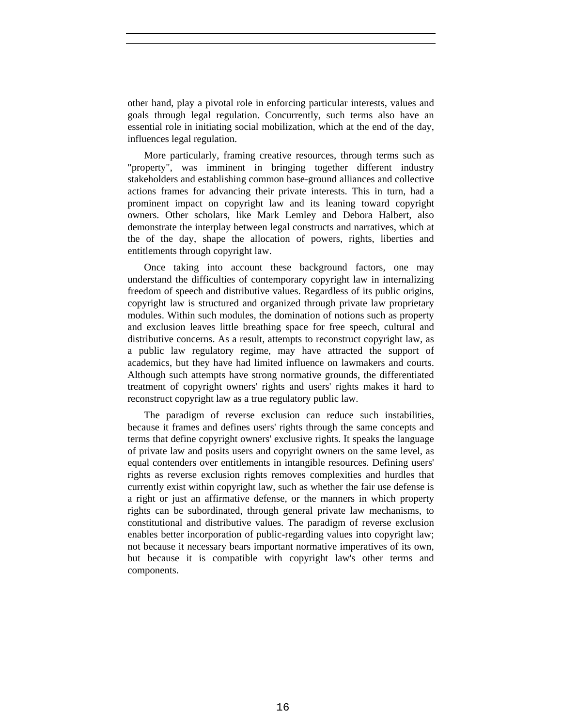other hand, play a pivotal role in enforcing particular interests, values and goals through legal regulation. Concurrently, such terms also have an essential role in initiating social mobilization, which at the end of the day, influences legal regulation.

More particularly, framing creative resources, through terms such as "property", was imminent in bringing together different industry stakeholders and establishing common base-ground alliances and collective actions frames for advancing their private interests. This in turn, had a prominent impact on copyright law and its leaning toward copyright owners. Other scholars, like Mark Lemley and Debora Halbert, also demonstrate the interplay between legal constructs and narratives, which at the of the day, shape the allocation of powers, rights, liberties and entitlements through copyright law.

Once taking into account these background factors, one may understand the difficulties of contemporary copyright law in internalizing freedom of speech and distributive values. Regardless of its public origins, copyright law is structured and organized through private law proprietary modules. Within such modules, the domination of notions such as property and exclusion leaves little breathing space for free speech, cultural and distributive concerns. As a result, attempts to reconstruct copyright law, as a public law regulatory regime, may have attracted the support of academics, but they have had limited influence on lawmakers and courts. Although such attempts have strong normative grounds, the differentiated treatment of copyright owners' rights and users' rights makes it hard to reconstruct copyright law as a true regulatory public law.

The paradigm of reverse exclusion can reduce such instabilities, because it frames and defines users' rights through the same concepts and terms that define copyright owners' exclusive rights. It speaks the language of private law and posits users and copyright owners on the same level, as equal contenders over entitlements in intangible resources. Defining users' rights as reverse exclusion rights removes complexities and hurdles that currently exist within copyright law, such as whether the fair use defense is a right or just an affirmative defense, or the manners in which property rights can be subordinated, through general private law mechanisms, to constitutional and distributive values. The paradigm of reverse exclusion enables better incorporation of public-regarding values into copyright law; not because it necessary bears important normative imperatives of its own, but because it is compatible with copyright law's other terms and components.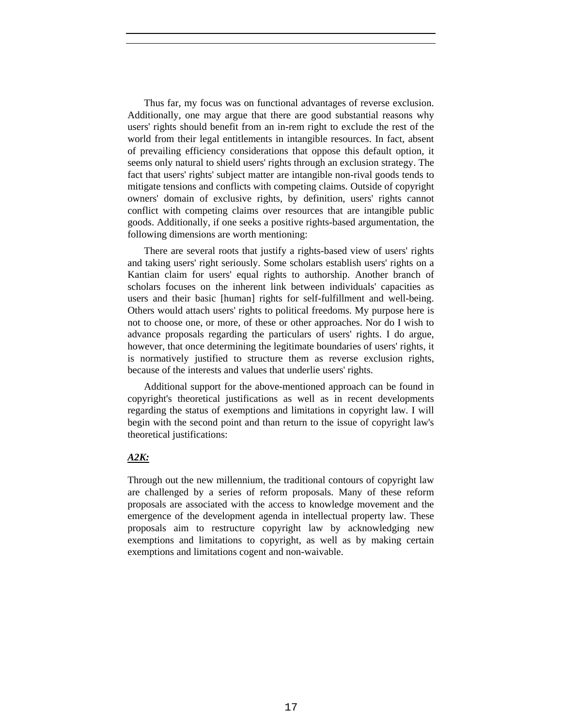Thus far, my focus was on functional advantages of reverse exclusion. Additionally, one may argue that there are good substantial reasons why users' rights should benefit from an in-rem right to exclude the rest of the world from their legal entitlements in intangible resources. In fact, absent of prevailing efficiency considerations that oppose this default option, it seems only natural to shield users' rights through an exclusion strategy. The fact that users' rights' subject matter are intangible non-rival goods tends to mitigate tensions and conflicts with competing claims. Outside of copyright owners' domain of exclusive rights, by definition, users' rights cannot conflict with competing claims over resources that are intangible public goods. Additionally, if one seeks a positive rights-based argumentation, the following dimensions are worth mentioning:

There are several roots that justify a rights-based view of users' rights and taking users' right seriously. Some scholars establish users' rights on a Kantian claim for users' equal rights to authorship. Another branch of scholars focuses on the inherent link between individuals' capacities as users and their basic [human] rights for self-fulfillment and well-being. Others would attach users' rights to political freedoms. My purpose here is not to choose one, or more, of these or other approaches. Nor do I wish to advance proposals regarding the particulars of users' rights. I do argue, however, that once determining the legitimate boundaries of users' rights, it is normatively justified to structure them as reverse exclusion rights, because of the interests and values that underlie users' rights.

Additional support for the above-mentioned approach can be found in copyright's theoretical justifications as well as in recent developments regarding the status of exemptions and limitations in copyright law. I will begin with the second point and than return to the issue of copyright law's theoretical justifications:

# *A2K:*

Through out the new millennium, the traditional contours of copyright law are challenged by a series of reform proposals. Many of these reform proposals are associated with the access to knowledge movement and the emergence of the development agenda in intellectual property law. These proposals aim to restructure copyright law by acknowledging new exemptions and limitations to copyright, as well as by making certain exemptions and limitations cogent and non-waivable.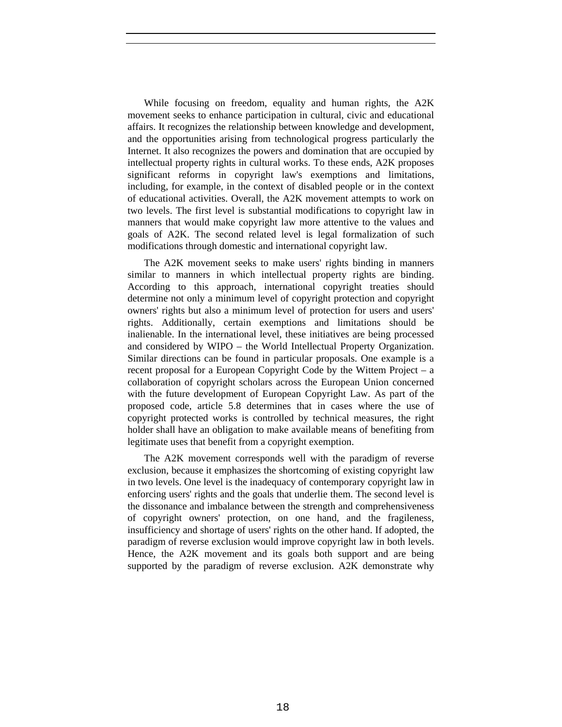While focusing on freedom, equality and human rights, the A2K movement seeks to enhance participation in cultural, civic and educational affairs. It recognizes the relationship between knowledge and development, and the opportunities arising from technological progress particularly the Internet. It also recognizes the powers and domination that are occupied by intellectual property rights in cultural works. To these ends, A2K proposes significant reforms in copyright law's exemptions and limitations, including, for example, in the context of disabled people or in the context of educational activities. Overall, the A2K movement attempts to work on two levels. The first level is substantial modifications to copyright law in manners that would make copyright law more attentive to the values and goals of A2K. The second related level is legal formalization of such modifications through domestic and international copyright law.

The A2K movement seeks to make users' rights binding in manners similar to manners in which intellectual property rights are binding. According to this approach, international copyright treaties should determine not only a minimum level of copyright protection and copyright owners' rights but also a minimum level of protection for users and users' rights. Additionally, certain exemptions and limitations should be inalienable. In the international level, these initiatives are being processed and considered by WIPO – the World Intellectual Property Organization. Similar directions can be found in particular proposals. One example is a recent proposal for a European Copyright Code by the Wittem Project – a collaboration of copyright scholars across the European Union concerned with the future development of European Copyright Law. As part of the proposed code, article 5.8 determines that in cases where the use of copyright protected works is controlled by technical measures, the right holder shall have an obligation to make available means of benefiting from legitimate uses that benefit from a copyright exemption.

The A2K movement corresponds well with the paradigm of reverse exclusion, because it emphasizes the shortcoming of existing copyright law in two levels. One level is the inadequacy of contemporary copyright law in enforcing users' rights and the goals that underlie them. The second level is the dissonance and imbalance between the strength and comprehensiveness of copyright owners' protection, on one hand, and the fragileness, insufficiency and shortage of users' rights on the other hand. If adopted, the paradigm of reverse exclusion would improve copyright law in both levels. Hence, the A2K movement and its goals both support and are being supported by the paradigm of reverse exclusion. A2K demonstrate why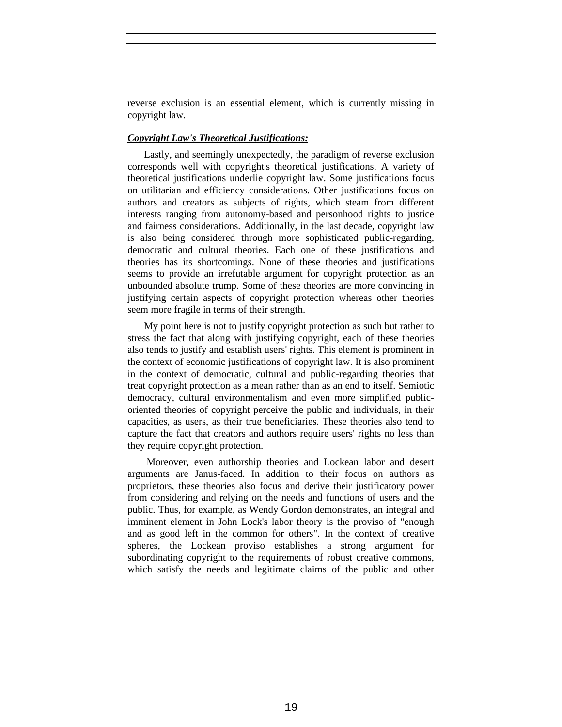reverse exclusion is an essential element, which is currently missing in copyright law.

## *Copyright Law's Theoretical Justifications:*

Lastly, and seemingly unexpectedly, the paradigm of reverse exclusion corresponds well with copyright's theoretical justifications. A variety of theoretical justifications underlie copyright law. Some justifications focus on utilitarian and efficiency considerations. Other justifications focus on authors and creators as subjects of rights, which steam from different interests ranging from autonomy-based and personhood rights to justice and fairness considerations. Additionally, in the last decade, copyright law is also being considered through more sophisticated public-regarding, democratic and cultural theories. Each one of these justifications and theories has its shortcomings. None of these theories and justifications seems to provide an irrefutable argument for copyright protection as an unbounded absolute trump. Some of these theories are more convincing in justifying certain aspects of copyright protection whereas other theories seem more fragile in terms of their strength.

My point here is not to justify copyright protection as such but rather to stress the fact that along with justifying copyright, each of these theories also tends to justify and establish users' rights. This element is prominent in the context of economic justifications of copyright law. It is also prominent in the context of democratic, cultural and public-regarding theories that treat copyright protection as a mean rather than as an end to itself. Semiotic democracy, cultural environmentalism and even more simplified publicoriented theories of copyright perceive the public and individuals, in their capacities, as users, as their true beneficiaries. These theories also tend to capture the fact that creators and authors require users' rights no less than they require copyright protection.

 Moreover, even authorship theories and Lockean labor and desert arguments are Janus-faced. In addition to their focus on authors as proprietors, these theories also focus and derive their justificatory power from considering and relying on the needs and functions of users and the public. Thus, for example, as Wendy Gordon demonstrates, an integral and imminent element in John Lock's labor theory is the proviso of "enough and as good left in the common for others". In the context of creative spheres, the Lockean proviso establishes a strong argument for subordinating copyright to the requirements of robust creative commons, which satisfy the needs and legitimate claims of the public and other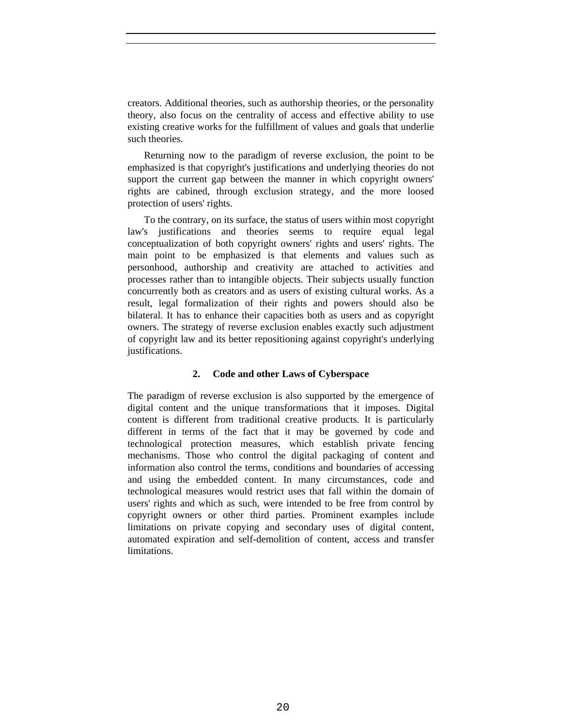creators. Additional theories, such as authorship theories, or the personality theory, also focus on the centrality of access and effective ability to use existing creative works for the fulfillment of values and goals that underlie such theories.

Returning now to the paradigm of reverse exclusion, the point to be emphasized is that copyright's justifications and underlying theories do not support the current gap between the manner in which copyright owners' rights are cabined, through exclusion strategy, and the more loosed protection of users' rights.

To the contrary, on its surface, the status of users within most copyright law's justifications and theories seems to require equal legal conceptualization of both copyright owners' rights and users' rights. The main point to be emphasized is that elements and values such as personhood, authorship and creativity are attached to activities and processes rather than to intangible objects. Their subjects usually function concurrently both as creators and as users of existing cultural works. As a result, legal formalization of their rights and powers should also be bilateral. It has to enhance their capacities both as users and as copyright owners. The strategy of reverse exclusion enables exactly such adjustment of copyright law and its better repositioning against copyright's underlying justifications.

# **2. Code and other Laws of Cyberspace**

The paradigm of reverse exclusion is also supported by the emergence of digital content and the unique transformations that it imposes. Digital content is different from traditional creative products. It is particularly different in terms of the fact that it may be governed by code and technological protection measures, which establish private fencing mechanisms. Those who control the digital packaging of content and information also control the terms, conditions and boundaries of accessing and using the embedded content. In many circumstances, code and technological measures would restrict uses that fall within the domain of users' rights and which as such, were intended to be free from control by copyright owners or other third parties. Prominent examples include limitations on private copying and secondary uses of digital content, automated expiration and self-demolition of content, access and transfer limitations.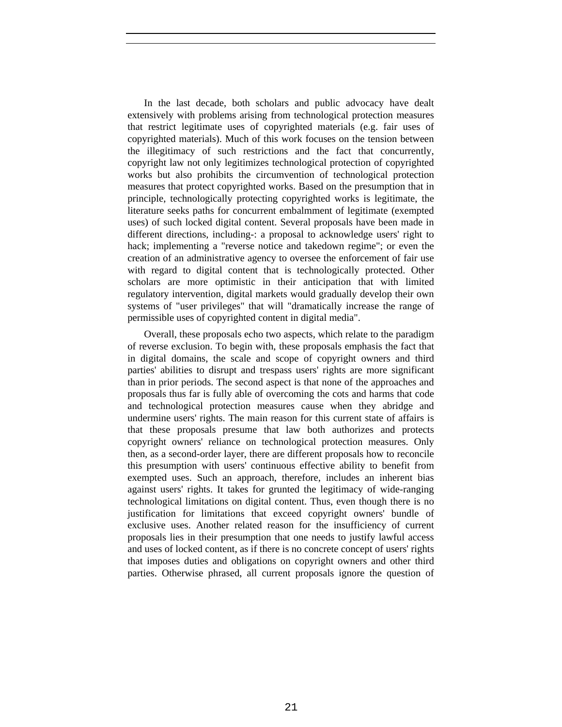In the last decade, both scholars and public advocacy have dealt extensively with problems arising from technological protection measures that restrict legitimate uses of copyrighted materials (e.g. fair uses of copyrighted materials). Much of this work focuses on the tension between the illegitimacy of such restrictions and the fact that concurrently, copyright law not only legitimizes technological protection of copyrighted works but also prohibits the circumvention of technological protection measures that protect copyrighted works. Based on the presumption that in principle, technologically protecting copyrighted works is legitimate, the literature seeks paths for concurrent embalmment of legitimate (exempted uses) of such locked digital content. Several proposals have been made in different directions, including-: a proposal to acknowledge users' right to hack; implementing a "reverse notice and takedown regime"; or even the creation of an administrative agency to oversee the enforcement of fair use with regard to digital content that is technologically protected. Other scholars are more optimistic in their anticipation that with limited regulatory intervention, digital markets would gradually develop their own systems of "user privileges" that will "dramatically increase the range of permissible uses of copyrighted content in digital media".

Overall, these proposals echo two aspects, which relate to the paradigm of reverse exclusion. To begin with, these proposals emphasis the fact that in digital domains, the scale and scope of copyright owners and third parties' abilities to disrupt and trespass users' rights are more significant than in prior periods. The second aspect is that none of the approaches and proposals thus far is fully able of overcoming the cots and harms that code and technological protection measures cause when they abridge and undermine users' rights. The main reason for this current state of affairs is that these proposals presume that law both authorizes and protects copyright owners' reliance on technological protection measures. Only then, as a second-order layer, there are different proposals how to reconcile this presumption with users' continuous effective ability to benefit from exempted uses. Such an approach, therefore, includes an inherent bias against users' rights. It takes for grunted the legitimacy of wide-ranging technological limitations on digital content. Thus, even though there is no justification for limitations that exceed copyright owners' bundle of exclusive uses. Another related reason for the insufficiency of current proposals lies in their presumption that one needs to justify lawful access and uses of locked content, as if there is no concrete concept of users' rights that imposes duties and obligations on copyright owners and other third parties. Otherwise phrased, all current proposals ignore the question of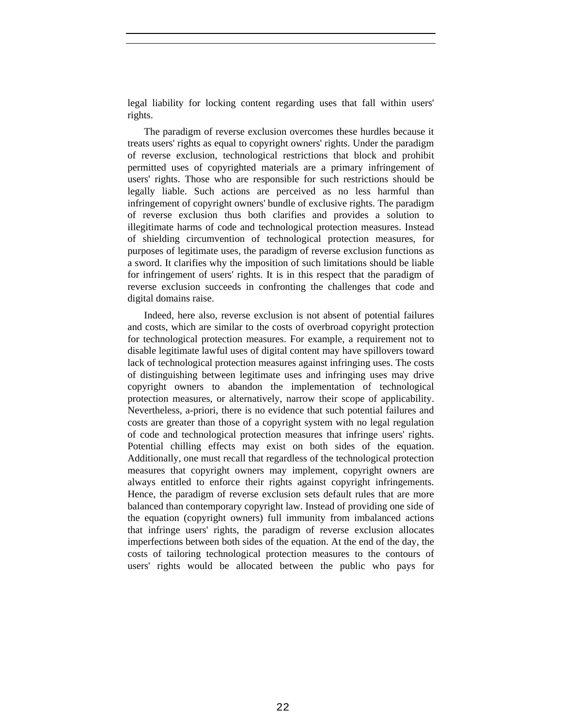legal liability for locking content regarding uses that fall within users' rights.

The paradigm of reverse exclusion overcomes these hurdles because it treats users' rights as equal to copyright owners' rights. Under the paradigm of reverse exclusion, technological restrictions that block and prohibit permitted uses of copyrighted materials are a primary infringement of users' rights. Those who are responsible for such restrictions should be legally liable. Such actions are perceived as no less harmful than infringement of copyright owners' bundle of exclusive rights. The paradigm of reverse exclusion thus both clarifies and provides a solution to illegitimate harms of code and technological protection measures. Instead of shielding circumvention of technological protection measures, for purposes of legitimate uses, the paradigm of reverse exclusion functions as a sword. It clarifies why the imposition of such limitations should be liable for infringement of users' rights. It is in this respect that the paradigm of reverse exclusion succeeds in confronting the challenges that code and digital domains raise.

Indeed, here also, reverse exclusion is not absent of potential failures and costs, which are similar to the costs of overbroad copyright protection for technological protection measures. For example, a requirement not to disable legitimate lawful uses of digital content may have spillovers toward lack of technological protection measures against infringing uses. The costs of distinguishing between legitimate uses and infringing uses may drive copyright owners to abandon the implementation of technological protection measures, or alternatively, narrow their scope of applicability. Nevertheless, a-priori, there is no evidence that such potential failures and costs are greater than those of a copyright system with no legal regulation of code and technological protection measures that infringe users' rights. Potential chilling effects may exist on both sides of the equation. Additionally, one must recall that regardless of the technological protection measures that copyright owners may implement, copyright owners are always entitled to enforce their rights against copyright infringements. Hence, the paradigm of reverse exclusion sets default rules that are more balanced than contemporary copyright law. Instead of providing one side of the equation (copyright owners) full immunity from imbalanced actions that infringe users' rights, the paradigm of reverse exclusion allocates imperfections between both sides of the equation. At the end of the day, the costs of tailoring technological protection measures to the contours of users' rights would be allocated between the public who pays for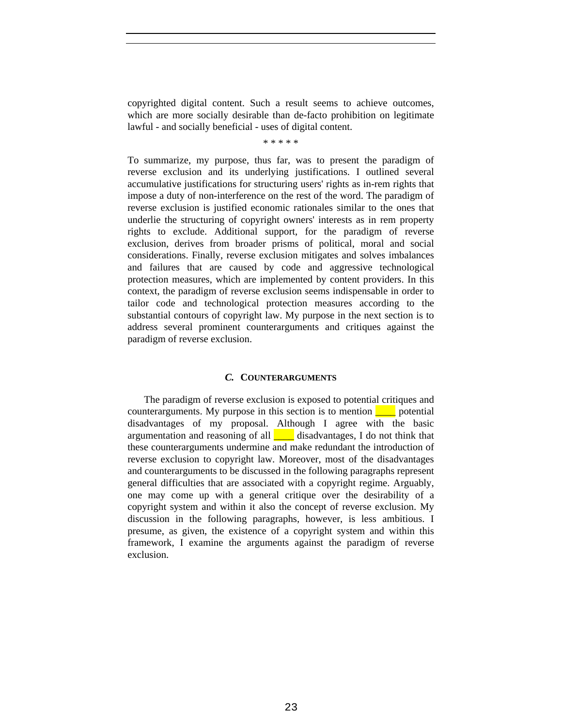copyrighted digital content. Such a result seems to achieve outcomes, which are more socially desirable than de-facto prohibition on legitimate lawful - and socially beneficial - uses of digital content.

\* \* \* \* \*

To summarize, my purpose, thus far, was to present the paradigm of reverse exclusion and its underlying justifications. I outlined several accumulative justifications for structuring users' rights as in-rem rights that impose a duty of non-interference on the rest of the word. The paradigm of reverse exclusion is justified economic rationales similar to the ones that underlie the structuring of copyright owners' interests as in rem property rights to exclude. Additional support, for the paradigm of reverse exclusion, derives from broader prisms of political, moral and social considerations. Finally, reverse exclusion mitigates and solves imbalances and failures that are caused by code and aggressive technological protection measures, which are implemented by content providers. In this context, the paradigm of reverse exclusion seems indispensable in order to tailor code and technological protection measures according to the substantial contours of copyright law. My purpose in the next section is to address several prominent counterarguments and critiques against the paradigm of reverse exclusion.

## *C.* **COUNTERARGUMENTS**

The paradigm of reverse exclusion is exposed to potential critiques and counterarguments. My purpose in this section is to mention  $\Box$  potential disadvantages of my proposal. Although I agree with the basic argumentation and reasoning of all  $\blacksquare$  disadvantages, I do not think that these counterarguments undermine and make redundant the introduction of reverse exclusion to copyright law. Moreover, most of the disadvantages and counterarguments to be discussed in the following paragraphs represent general difficulties that are associated with a copyright regime. Arguably, one may come up with a general critique over the desirability of a copyright system and within it also the concept of reverse exclusion. My discussion in the following paragraphs, however, is less ambitious. I presume, as given, the existence of a copyright system and within this framework, I examine the arguments against the paradigm of reverse exclusion.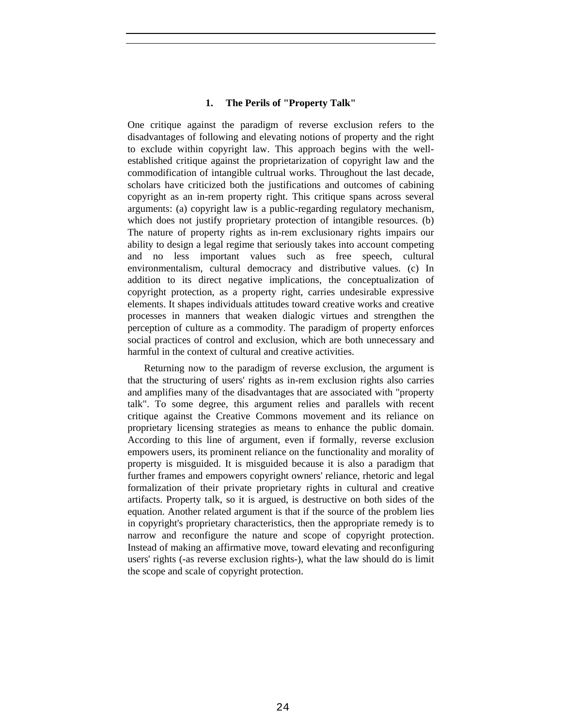## **1. The Perils of "Property Talk"**

One critique against the paradigm of reverse exclusion refers to the disadvantages of following and elevating notions of property and the right to exclude within copyright law. This approach begins with the wellestablished critique against the proprietarization of copyright law and the commodification of intangible cultrual works. Throughout the last decade, scholars have criticized both the justifications and outcomes of cabining copyright as an in-rem property right. This critique spans across several arguments: (a) copyright law is a public-regarding regulatory mechanism, which does not justify proprietary protection of intangible resources. (b) The nature of property rights as in-rem exclusionary rights impairs our ability to design a legal regime that seriously takes into account competing and no less important values such as free speech, cultural environmentalism, cultural democracy and distributive values. (c) In addition to its direct negative implications, the conceptualization of copyright protection, as a property right, carries undesirable expressive elements. It shapes individuals attitudes toward creative works and creative processes in manners that weaken dialogic virtues and strengthen the perception of culture as a commodity. The paradigm of property enforces social practices of control and exclusion, which are both unnecessary and harmful in the context of cultural and creative activities.

Returning now to the paradigm of reverse exclusion, the argument is that the structuring of users' rights as in-rem exclusion rights also carries and amplifies many of the disadvantages that are associated with "property talk". To some degree, this argument relies and parallels with recent critique against the Creative Commons movement and its reliance on proprietary licensing strategies as means to enhance the public domain. According to this line of argument, even if formally, reverse exclusion empowers users, its prominent reliance on the functionality and morality of property is misguided. It is misguided because it is also a paradigm that further frames and empowers copyright owners' reliance, rhetoric and legal formalization of their private proprietary rights in cultural and creative artifacts. Property talk, so it is argued, is destructive on both sides of the equation. Another related argument is that if the source of the problem lies in copyright's proprietary characteristics, then the appropriate remedy is to narrow and reconfigure the nature and scope of copyright protection. Instead of making an affirmative move, toward elevating and reconfiguring users' rights (-as reverse exclusion rights-), what the law should do is limit the scope and scale of copyright protection.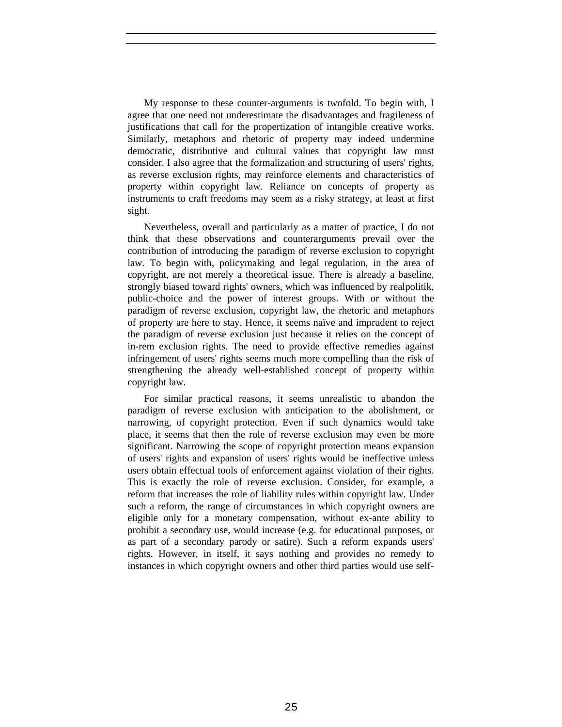My response to these counter-arguments is twofold. To begin with, I agree that one need not underestimate the disadvantages and fragileness of justifications that call for the propertization of intangible creative works. Similarly, metaphors and rhetoric of property may indeed undermine democratic, distributive and cultural values that copyright law must consider. I also agree that the formalization and structuring of users' rights, as reverse exclusion rights, may reinforce elements and characteristics of property within copyright law. Reliance on concepts of property as instruments to craft freedoms may seem as a risky strategy, at least at first sight.

Nevertheless, overall and particularly as a matter of practice, I do not think that these observations and counterarguments prevail over the contribution of introducing the paradigm of reverse exclusion to copyright law. To begin with, policymaking and legal regulation, in the area of copyright, are not merely a theoretical issue. There is already a baseline, strongly biased toward rights' owners, which was influenced by realpolitik, public-choice and the power of interest groups. With or without the paradigm of reverse exclusion, copyright law, the rhetoric and metaphors of property are here to stay. Hence, it seems naïve and imprudent to reject the paradigm of reverse exclusion just because it relies on the concept of in-rem exclusion rights. The need to provide effective remedies against infringement of users' rights seems much more compelling than the risk of strengthening the already well-established concept of property within copyright law.

For similar practical reasons, it seems unrealistic to abandon the paradigm of reverse exclusion with anticipation to the abolishment, or narrowing, of copyright protection. Even if such dynamics would take place, it seems that then the role of reverse exclusion may even be more significant. Narrowing the scope of copyright protection means expansion of users' rights and expansion of users' rights would be ineffective unless users obtain effectual tools of enforcement against violation of their rights. This is exactly the role of reverse exclusion. Consider, for example, a reform that increases the role of liability rules within copyright law. Under such a reform, the range of circumstances in which copyright owners are eligible only for a monetary compensation, without ex-ante ability to prohibit a secondary use, would increase (e.g. for educational purposes, or as part of a secondary parody or satire). Such a reform expands users' rights. However, in itself, it says nothing and provides no remedy to instances in which copyright owners and other third parties would use self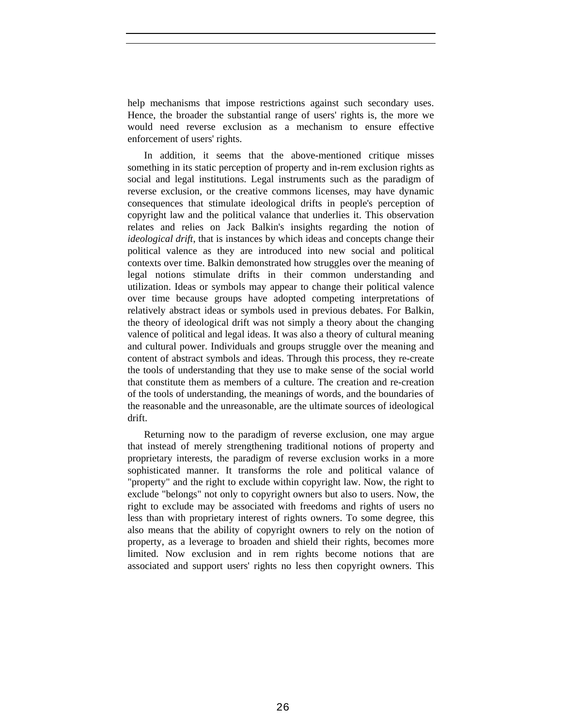help mechanisms that impose restrictions against such secondary uses. Hence, the broader the substantial range of users' rights is, the more we would need reverse exclusion as a mechanism to ensure effective enforcement of users' rights.

In addition, it seems that the above-mentioned critique misses something in its static perception of property and in-rem exclusion rights as social and legal institutions. Legal instruments such as the paradigm of reverse exclusion, or the creative commons licenses, may have dynamic consequences that stimulate ideological drifts in people's perception of copyright law and the political valance that underlies it. This observation relates and relies on Jack Balkin's insights regarding the notion of *ideological drift*, that is instances by which ideas and concepts change their political valence as they are introduced into new social and political contexts over time. Balkin demonstrated how struggles over the meaning of legal notions stimulate drifts in their common understanding and utilization. Ideas or symbols may appear to change their political valence over time because groups have adopted competing interpretations of relatively abstract ideas or symbols used in previous debates. For Balkin, the theory of ideological drift was not simply a theory about the changing valence of political and legal ideas. It was also a theory of cultural meaning and cultural power. Individuals and groups struggle over the meaning and content of abstract symbols and ideas. Through this process, they re-create the tools of understanding that they use to make sense of the social world that constitute them as members of a culture. The creation and re-creation of the tools of understanding, the meanings of words, and the boundaries of the reasonable and the unreasonable, are the ultimate sources of ideological drift.

Returning now to the paradigm of reverse exclusion, one may argue that instead of merely strengthening traditional notions of property and proprietary interests, the paradigm of reverse exclusion works in a more sophisticated manner. It transforms the role and political valance of "property" and the right to exclude within copyright law. Now, the right to exclude "belongs" not only to copyright owners but also to users. Now, the right to exclude may be associated with freedoms and rights of users no less than with proprietary interest of rights owners. To some degree, this also means that the ability of copyright owners to rely on the notion of property, as a leverage to broaden and shield their rights, becomes more limited. Now exclusion and in rem rights become notions that are associated and support users' rights no less then copyright owners. This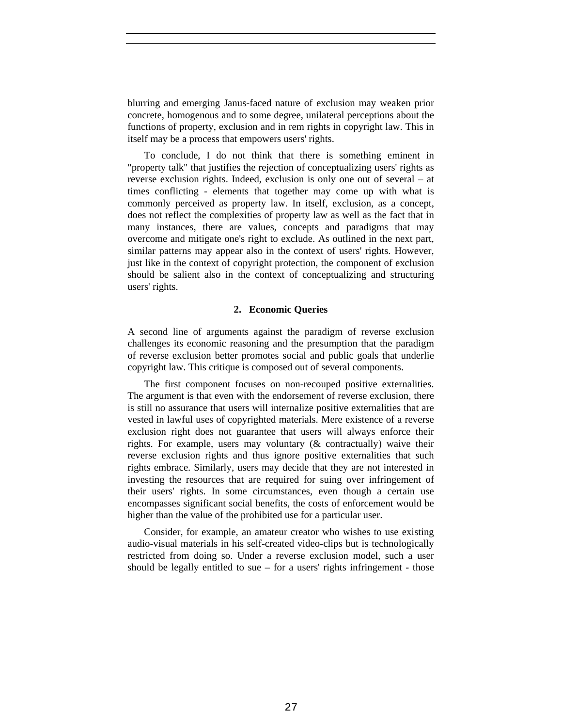blurring and emerging Janus-faced nature of exclusion may weaken prior concrete, homogenous and to some degree, unilateral perceptions about the functions of property, exclusion and in rem rights in copyright law. This in itself may be a process that empowers users' rights.

To conclude, I do not think that there is something eminent in "property talk" that justifies the rejection of conceptualizing users' rights as reverse exclusion rights. Indeed, exclusion is only one out of several – at times conflicting - elements that together may come up with what is commonly perceived as property law. In itself, exclusion, as a concept, does not reflect the complexities of property law as well as the fact that in many instances, there are values, concepts and paradigms that may overcome and mitigate one's right to exclude. As outlined in the next part, similar patterns may appear also in the context of users' rights. However, just like in the context of copyright protection, the component of exclusion should be salient also in the context of conceptualizing and structuring users' rights.

## **2. Economic Queries**

A second line of arguments against the paradigm of reverse exclusion challenges its economic reasoning and the presumption that the paradigm of reverse exclusion better promotes social and public goals that underlie copyright law. This critique is composed out of several components.

The first component focuses on non-recouped positive externalities. The argument is that even with the endorsement of reverse exclusion, there is still no assurance that users will internalize positive externalities that are vested in lawful uses of copyrighted materials. Mere existence of a reverse exclusion right does not guarantee that users will always enforce their rights. For example, users may voluntary (& contractually) waive their reverse exclusion rights and thus ignore positive externalities that such rights embrace. Similarly, users may decide that they are not interested in investing the resources that are required for suing over infringement of their users' rights. In some circumstances, even though a certain use encompasses significant social benefits, the costs of enforcement would be higher than the value of the prohibited use for a particular user.

Consider, for example, an amateur creator who wishes to use existing audio-visual materials in his self-created video-clips but is technologically restricted from doing so. Under a reverse exclusion model, such a user should be legally entitled to sue – for a users' rights infringement - those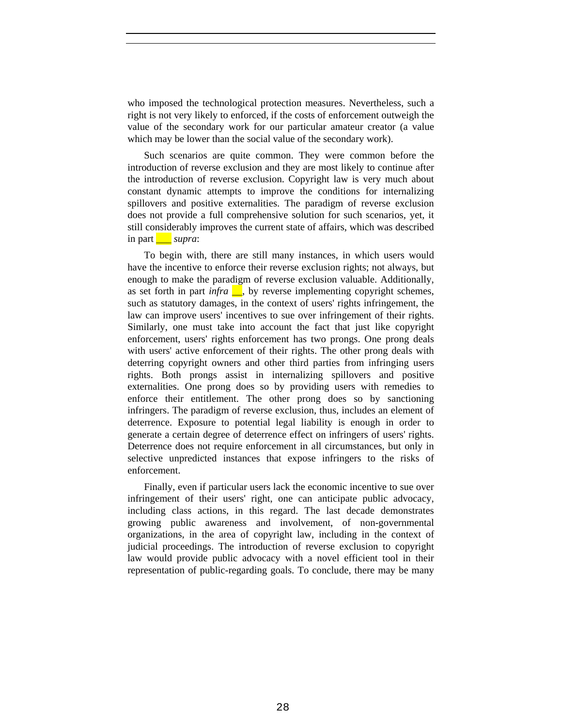who imposed the technological protection measures. Nevertheless, such a right is not very likely to enforced, if the costs of enforcement outweigh the value of the secondary work for our particular amateur creator (a value which may be lower than the social value of the secondary work).

Such scenarios are quite common. They were common before the introduction of reverse exclusion and they are most likely to continue after the introduction of reverse exclusion. Copyright law is very much about constant dynamic attempts to improve the conditions for internalizing spillovers and positive externalities. The paradigm of reverse exclusion does not provide a full comprehensive solution for such scenarios, yet, it still considerably improves the current state of affairs, which was described in part \_\_\_ *supra*:

To begin with, there are still many instances, in which users would have the incentive to enforce their reverse exclusion rights; not always, but enough to make the paradigm of reverse exclusion valuable. Additionally, as set forth in part *infra*  $\Box$ , by reverse implementing copyright schemes, such as statutory damages, in the context of users' rights infringement, the law can improve users' incentives to sue over infringement of their rights. Similarly, one must take into account the fact that just like copyright enforcement, users' rights enforcement has two prongs. One prong deals with users' active enforcement of their rights. The other prong deals with deterring copyright owners and other third parties from infringing users rights. Both prongs assist in internalizing spillovers and positive externalities. One prong does so by providing users with remedies to enforce their entitlement. The other prong does so by sanctioning infringers. The paradigm of reverse exclusion, thus, includes an element of deterrence. Exposure to potential legal liability is enough in order to generate a certain degree of deterrence effect on infringers of users' rights. Deterrence does not require enforcement in all circumstances, but only in selective unpredicted instances that expose infringers to the risks of enforcement.

Finally, even if particular users lack the economic incentive to sue over infringement of their users' right, one can anticipate public advocacy, including class actions, in this regard. The last decade demonstrates growing public awareness and involvement, of non-governmental organizations, in the area of copyright law, including in the context of judicial proceedings. The introduction of reverse exclusion to copyright law would provide public advocacy with a novel efficient tool in their representation of public-regarding goals. To conclude, there may be many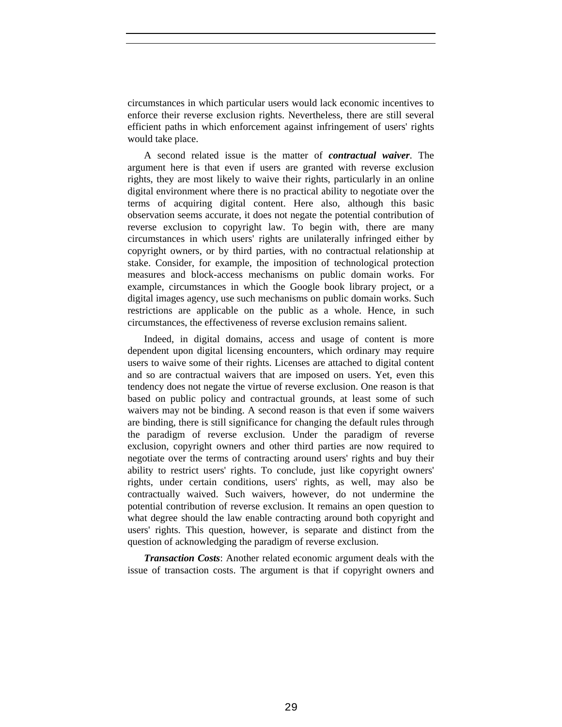circumstances in which particular users would lack economic incentives to enforce their reverse exclusion rights. Nevertheless, there are still several efficient paths in which enforcement against infringement of users' rights would take place.

A second related issue is the matter of *contractual waiver*. The argument here is that even if users are granted with reverse exclusion rights, they are most likely to waive their rights, particularly in an online digital environment where there is no practical ability to negotiate over the terms of acquiring digital content. Here also, although this basic observation seems accurate, it does not negate the potential contribution of reverse exclusion to copyright law. To begin with, there are many circumstances in which users' rights are unilaterally infringed either by copyright owners, or by third parties, with no contractual relationship at stake. Consider, for example, the imposition of technological protection measures and block-access mechanisms on public domain works. For example, circumstances in which the Google book library project, or a digital images agency, use such mechanisms on public domain works. Such restrictions are applicable on the public as a whole. Hence, in such circumstances, the effectiveness of reverse exclusion remains salient.

Indeed, in digital domains, access and usage of content is more dependent upon digital licensing encounters, which ordinary may require users to waive some of their rights. Licenses are attached to digital content and so are contractual waivers that are imposed on users. Yet, even this tendency does not negate the virtue of reverse exclusion. One reason is that based on public policy and contractual grounds, at least some of such waivers may not be binding. A second reason is that even if some waivers are binding, there is still significance for changing the default rules through the paradigm of reverse exclusion. Under the paradigm of reverse exclusion, copyright owners and other third parties are now required to negotiate over the terms of contracting around users' rights and buy their ability to restrict users' rights. To conclude, just like copyright owners' rights, under certain conditions, users' rights, as well, may also be contractually waived. Such waivers, however, do not undermine the potential contribution of reverse exclusion. It remains an open question to what degree should the law enable contracting around both copyright and users' rights. This question, however, is separate and distinct from the question of acknowledging the paradigm of reverse exclusion.

*Transaction Costs*: Another related economic argument deals with the issue of transaction costs. The argument is that if copyright owners and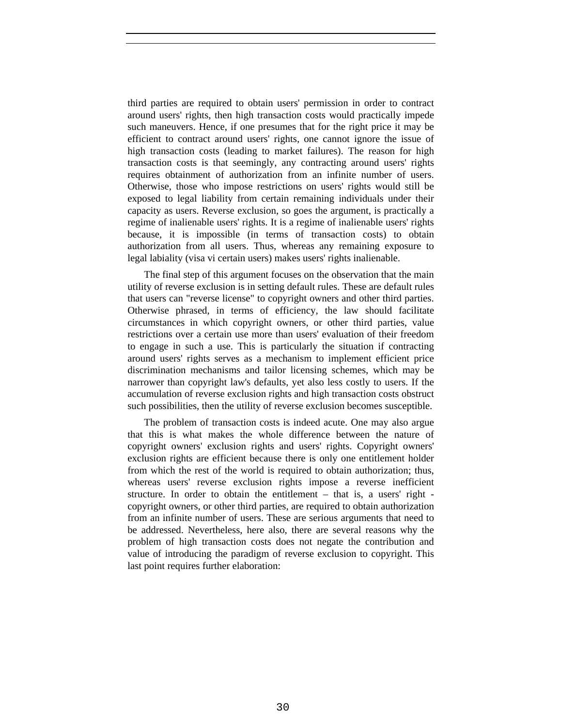third parties are required to obtain users' permission in order to contract around users' rights, then high transaction costs would practically impede such maneuvers. Hence, if one presumes that for the right price it may be efficient to contract around users' rights, one cannot ignore the issue of high transaction costs (leading to market failures). The reason for high transaction costs is that seemingly, any contracting around users' rights requires obtainment of authorization from an infinite number of users. Otherwise, those who impose restrictions on users' rights would still be exposed to legal liability from certain remaining individuals under their capacity as users. Reverse exclusion, so goes the argument, is practically a regime of inalienable users' rights. It is a regime of inalienable users' rights because, it is impossible (in terms of transaction costs) to obtain authorization from all users. Thus, whereas any remaining exposure to legal labiality (visa vi certain users) makes users' rights inalienable.

The final step of this argument focuses on the observation that the main utility of reverse exclusion is in setting default rules. These are default rules that users can "reverse license" to copyright owners and other third parties. Otherwise phrased, in terms of efficiency, the law should facilitate circumstances in which copyright owners, or other third parties, value restrictions over a certain use more than users' evaluation of their freedom to engage in such a use. This is particularly the situation if contracting around users' rights serves as a mechanism to implement efficient price discrimination mechanisms and tailor licensing schemes, which may be narrower than copyright law's defaults, yet also less costly to users. If the accumulation of reverse exclusion rights and high transaction costs obstruct such possibilities, then the utility of reverse exclusion becomes susceptible.

The problem of transaction costs is indeed acute. One may also argue that this is what makes the whole difference between the nature of copyright owners' exclusion rights and users' rights. Copyright owners' exclusion rights are efficient because there is only one entitlement holder from which the rest of the world is required to obtain authorization; thus, whereas users' reverse exclusion rights impose a reverse inefficient structure. In order to obtain the entitlement – that is, a users' right copyright owners, or other third parties, are required to obtain authorization from an infinite number of users. These are serious arguments that need to be addressed. Nevertheless, here also, there are several reasons why the problem of high transaction costs does not negate the contribution and value of introducing the paradigm of reverse exclusion to copyright. This last point requires further elaboration: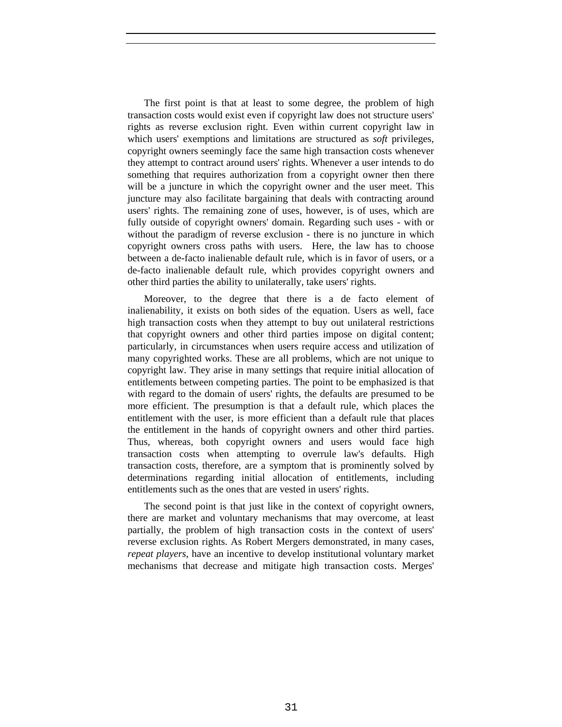The first point is that at least to some degree, the problem of high transaction costs would exist even if copyright law does not structure users' rights as reverse exclusion right. Even within current copyright law in which users' exemptions and limitations are structured as *soft* privileges, copyright owners seemingly face the same high transaction costs whenever they attempt to contract around users' rights. Whenever a user intends to do something that requires authorization from a copyright owner then there will be a juncture in which the copyright owner and the user meet. This juncture may also facilitate bargaining that deals with contracting around users' rights. The remaining zone of uses, however, is of uses, which are fully outside of copyright owners' domain. Regarding such uses - with or without the paradigm of reverse exclusion - there is no juncture in which copyright owners cross paths with users. Here, the law has to choose between a de-facto inalienable default rule, which is in favor of users, or a de-facto inalienable default rule, which provides copyright owners and other third parties the ability to unilaterally, take users' rights.

Moreover, to the degree that there is a de facto element of inalienability, it exists on both sides of the equation. Users as well, face high transaction costs when they attempt to buy out unilateral restrictions that copyright owners and other third parties impose on digital content; particularly, in circumstances when users require access and utilization of many copyrighted works. These are all problems, which are not unique to copyright law. They arise in many settings that require initial allocation of entitlements between competing parties. The point to be emphasized is that with regard to the domain of users' rights, the defaults are presumed to be more efficient. The presumption is that a default rule, which places the entitlement with the user, is more efficient than a default rule that places the entitlement in the hands of copyright owners and other third parties. Thus, whereas, both copyright owners and users would face high transaction costs when attempting to overrule law's defaults. High transaction costs, therefore, are a symptom that is prominently solved by determinations regarding initial allocation of entitlements, including entitlements such as the ones that are vested in users' rights.

The second point is that just like in the context of copyright owners, there are market and voluntary mechanisms that may overcome, at least partially, the problem of high transaction costs in the context of users' reverse exclusion rights. As Robert Mergers demonstrated, in many cases, *repeat players*, have an incentive to develop institutional voluntary market mechanisms that decrease and mitigate high transaction costs. Merges'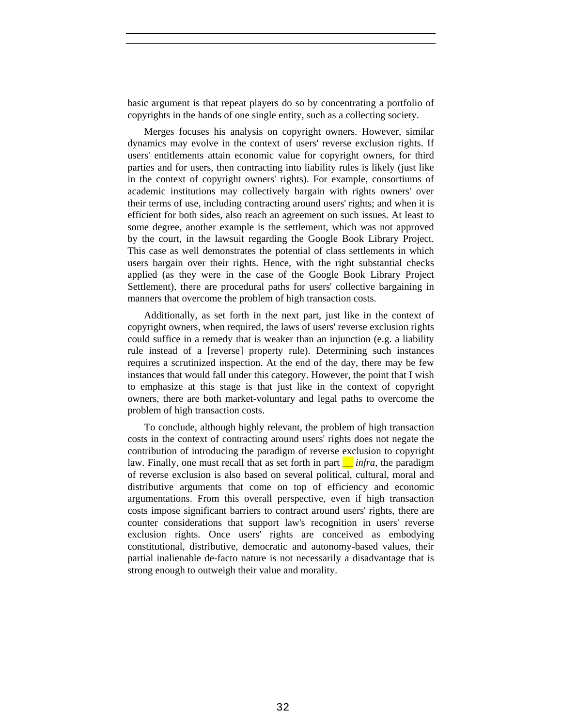basic argument is that repeat players do so by concentrating a portfolio of copyrights in the hands of one single entity, such as a collecting society.

Merges focuses his analysis on copyright owners. However, similar dynamics may evolve in the context of users' reverse exclusion rights. If users' entitlements attain economic value for copyright owners, for third parties and for users, then contracting into liability rules is likely (just like in the context of copyright owners' rights). For example, consortiums of academic institutions may collectively bargain with rights owners' over their terms of use, including contracting around users' rights; and when it is efficient for both sides, also reach an agreement on such issues. At least to some degree, another example is the settlement, which was not approved by the court, in the lawsuit regarding the Google Book Library Project. This case as well demonstrates the potential of class settlements in which users bargain over their rights. Hence, with the right substantial checks applied (as they were in the case of the Google Book Library Project Settlement), there are procedural paths for users' collective bargaining in manners that overcome the problem of high transaction costs.

Additionally, as set forth in the next part, just like in the context of copyright owners, when required, the laws of users' reverse exclusion rights could suffice in a remedy that is weaker than an injunction (e.g. a liability rule instead of a [reverse] property rule). Determining such instances requires a scrutinized inspection. At the end of the day, there may be few instances that would fall under this category. However, the point that I wish to emphasize at this stage is that just like in the context of copyright owners, there are both market-voluntary and legal paths to overcome the problem of high transaction costs.

To conclude, although highly relevant, the problem of high transaction costs in the context of contracting around users' rights does not negate the contribution of introducing the paradigm of reverse exclusion to copyright law. Finally, one must recall that as set forth in part  $\Box$  *infra*, the paradigm of reverse exclusion is also based on several political, cultural, moral and distributive arguments that come on top of efficiency and economic argumentations. From this overall perspective, even if high transaction costs impose significant barriers to contract around users' rights, there are counter considerations that support law's recognition in users' reverse exclusion rights. Once users' rights are conceived as embodying constitutional, distributive, democratic and autonomy-based values, their partial inalienable de-facto nature is not necessarily a disadvantage that is strong enough to outweigh their value and morality.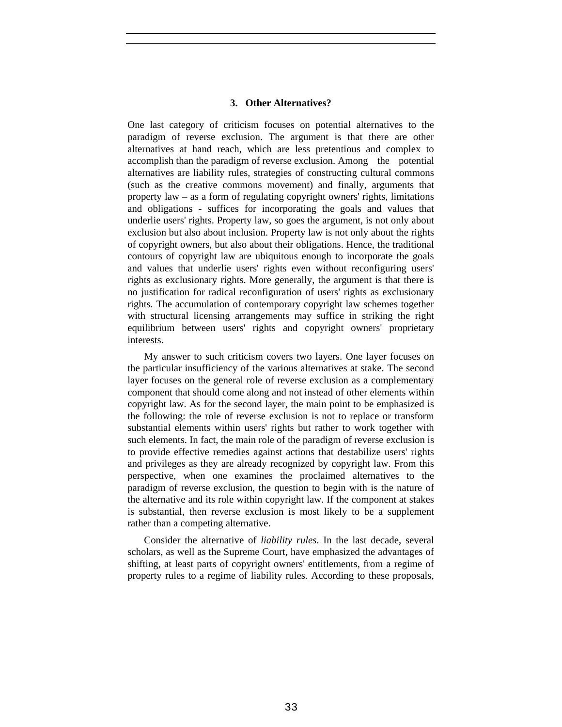# **3. Other Alternatives?**

One last category of criticism focuses on potential alternatives to the paradigm of reverse exclusion. The argument is that there are other alternatives at hand reach, which are less pretentious and complex to accomplish than the paradigm of reverse exclusion. Among the potential alternatives are liability rules, strategies of constructing cultural commons (such as the creative commons movement) and finally, arguments that property law – as a form of regulating copyright owners' rights, limitations and obligations - suffices for incorporating the goals and values that underlie users' rights. Property law, so goes the argument, is not only about exclusion but also about inclusion. Property law is not only about the rights of copyright owners, but also about their obligations. Hence, the traditional contours of copyright law are ubiquitous enough to incorporate the goals and values that underlie users' rights even without reconfiguring users' rights as exclusionary rights. More generally, the argument is that there is no justification for radical reconfiguration of users' rights as exclusionary rights. The accumulation of contemporary copyright law schemes together with structural licensing arrangements may suffice in striking the right equilibrium between users' rights and copyright owners' proprietary interests.

My answer to such criticism covers two layers. One layer focuses on the particular insufficiency of the various alternatives at stake. The second layer focuses on the general role of reverse exclusion as a complementary component that should come along and not instead of other elements within copyright law. As for the second layer, the main point to be emphasized is the following: the role of reverse exclusion is not to replace or transform substantial elements within users' rights but rather to work together with such elements. In fact, the main role of the paradigm of reverse exclusion is to provide effective remedies against actions that destabilize users' rights and privileges as they are already recognized by copyright law. From this perspective, when one examines the proclaimed alternatives to the paradigm of reverse exclusion, the question to begin with is the nature of the alternative and its role within copyright law. If the component at stakes is substantial, then reverse exclusion is most likely to be a supplement rather than a competing alternative.

Consider the alternative of *liability rules*. In the last decade, several scholars, as well as the Supreme Court, have emphasized the advantages of shifting, at least parts of copyright owners' entitlements, from a regime of property rules to a regime of liability rules. According to these proposals,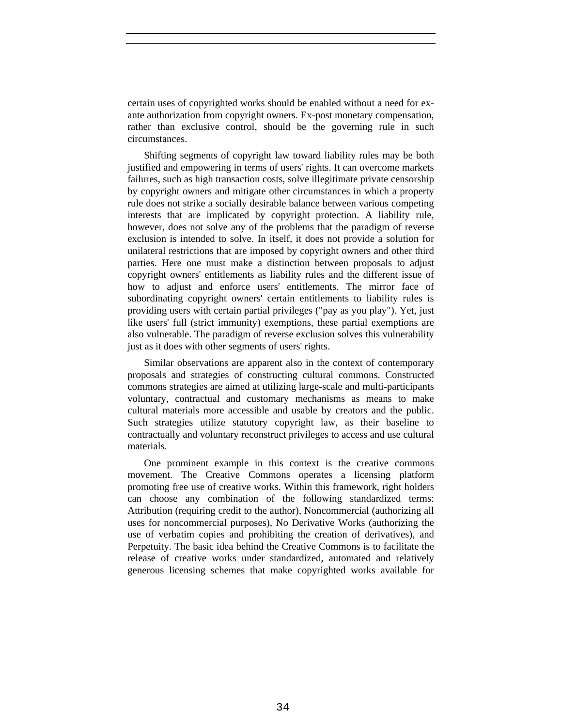certain uses of copyrighted works should be enabled without a need for exante authorization from copyright owners. Ex-post monetary compensation, rather than exclusive control, should be the governing rule in such circumstances.

Shifting segments of copyright law toward liability rules may be both justified and empowering in terms of users' rights. It can overcome markets failures, such as high transaction costs, solve illegitimate private censorship by copyright owners and mitigate other circumstances in which a property rule does not strike a socially desirable balance between various competing interests that are implicated by copyright protection. A liability rule, however, does not solve any of the problems that the paradigm of reverse exclusion is intended to solve. In itself, it does not provide a solution for unilateral restrictions that are imposed by copyright owners and other third parties. Here one must make a distinction between proposals to adjust copyright owners' entitlements as liability rules and the different issue of how to adjust and enforce users' entitlements. The mirror face of subordinating copyright owners' certain entitlements to liability rules is providing users with certain partial privileges ("pay as you play"). Yet, just like users' full (strict immunity) exemptions, these partial exemptions are also vulnerable. The paradigm of reverse exclusion solves this vulnerability just as it does with other segments of users' rights.

Similar observations are apparent also in the context of contemporary proposals and strategies of constructing cultural commons. Constructed commons strategies are aimed at utilizing large-scale and multi-participants voluntary, contractual and customary mechanisms as means to make cultural materials more accessible and usable by creators and the public. Such strategies utilize statutory copyright law, as their baseline to contractually and voluntary reconstruct privileges to access and use cultural materials.

One prominent example in this context is the creative commons movement. The Creative Commons operates a licensing platform promoting free use of creative works. Within this framework, right holders can choose any combination of the following standardized terms: Attribution (requiring credit to the author), Noncommercial (authorizing all uses for noncommercial purposes), No Derivative Works (authorizing the use of verbatim copies and prohibiting the creation of derivatives), and Perpetuity. The basic idea behind the Creative Commons is to facilitate the release of creative works under standardized, automated and relatively generous licensing schemes that make copyrighted works available for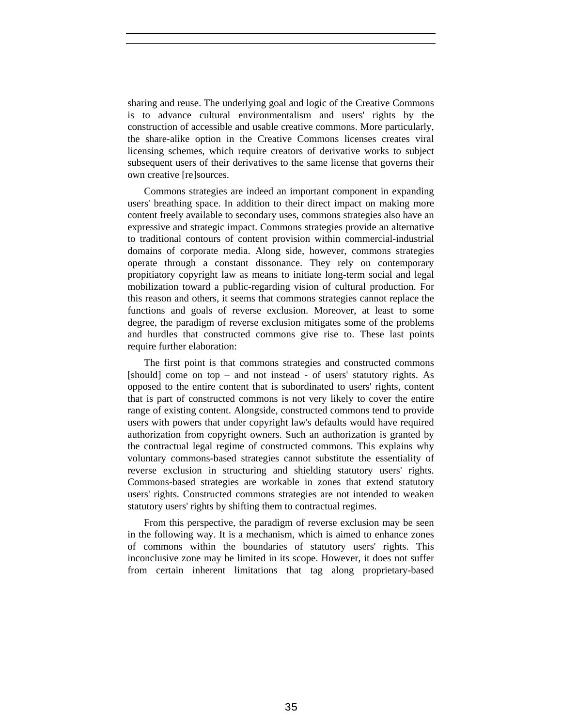sharing and reuse. The underlying goal and logic of the Creative Commons is to advance cultural environmentalism and users' rights by the construction of accessible and usable creative commons. More particularly, the share-alike option in the Creative Commons licenses creates viral licensing schemes, which require creators of derivative works to subject subsequent users of their derivatives to the same license that governs their own creative [re]sources.

Commons strategies are indeed an important component in expanding users' breathing space. In addition to their direct impact on making more content freely available to secondary uses, commons strategies also have an expressive and strategic impact. Commons strategies provide an alternative to traditional contours of content provision within commercial-industrial domains of corporate media. Along side, however, commons strategies operate through a constant dissonance. They rely on contemporary propitiatory copyright law as means to initiate long-term social and legal mobilization toward a public-regarding vision of cultural production. For this reason and others, it seems that commons strategies cannot replace the functions and goals of reverse exclusion. Moreover, at least to some degree, the paradigm of reverse exclusion mitigates some of the problems and hurdles that constructed commons give rise to. These last points require further elaboration:

The first point is that commons strategies and constructed commons [should] come on top – and not instead - of users' statutory rights. As opposed to the entire content that is subordinated to users' rights, content that is part of constructed commons is not very likely to cover the entire range of existing content. Alongside, constructed commons tend to provide users with powers that under copyright law's defaults would have required authorization from copyright owners. Such an authorization is granted by the contractual legal regime of constructed commons. This explains why voluntary commons-based strategies cannot substitute the essentiality of reverse exclusion in structuring and shielding statutory users' rights. Commons-based strategies are workable in zones that extend statutory users' rights. Constructed commons strategies are not intended to weaken statutory users' rights by shifting them to contractual regimes.

From this perspective, the paradigm of reverse exclusion may be seen in the following way. It is a mechanism, which is aimed to enhance zones of commons within the boundaries of statutory users' rights. This inconclusive zone may be limited in its scope. However, it does not suffer from certain inherent limitations that tag along proprietary-based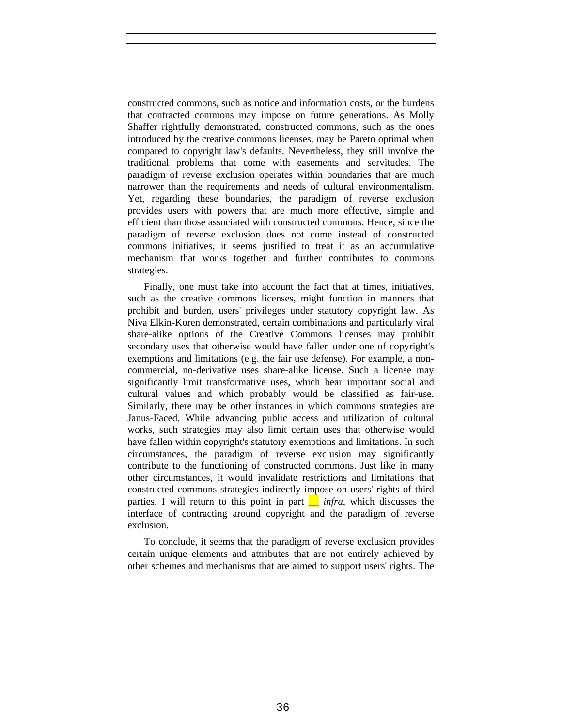constructed commons, such as notice and information costs, or the burdens that contracted commons may impose on future generations. As Molly Shaffer rightfully demonstrated, constructed commons, such as the ones introduced by the creative commons licenses, may be Pareto optimal when compared to copyright law's defaults. Nevertheless, they still involve the traditional problems that come with easements and servitudes. The paradigm of reverse exclusion operates within boundaries that are much narrower than the requirements and needs of cultural environmentalism. Yet, regarding these boundaries, the paradigm of reverse exclusion provides users with powers that are much more effective, simple and efficient than those associated with constructed commons. Hence, since the paradigm of reverse exclusion does not come instead of constructed commons initiatives, it seems justified to treat it as an accumulative mechanism that works together and further contributes to commons strategies.

Finally, one must take into account the fact that at times, initiatives, such as the creative commons licenses, might function in manners that prohibit and burden, users' privileges under statutory copyright law. As Niva Elkin-Koren demonstrated, certain combinations and particularly viral share-alike options of the Creative Commons licenses may prohibit secondary uses that otherwise would have fallen under one of copyright's exemptions and limitations (e.g. the fair use defense). For example, a noncommercial, no-derivative uses share-alike license. Such a license may significantly limit transformative uses, which bear important social and cultural values and which probably would be classified as fair-use. Similarly, there may be other instances in which commons strategies are Janus-Faced. While advancing public access and utilization of cultural works, such strategies may also limit certain uses that otherwise would have fallen within copyright's statutory exemptions and limitations. In such circumstances, the paradigm of reverse exclusion may significantly contribute to the functioning of constructed commons. Just like in many other circumstances, it would invalidate restrictions and limitations that constructed commons strategies indirectly impose on users' rights of third parties. I will return to this point in part  $\frac{ }{ }$  *infra*, which discusses the interface of contracting around copyright and the paradigm of reverse exclusion.

To conclude, it seems that the paradigm of reverse exclusion provides certain unique elements and attributes that are not entirely achieved by other schemes and mechanisms that are aimed to support users' rights. The